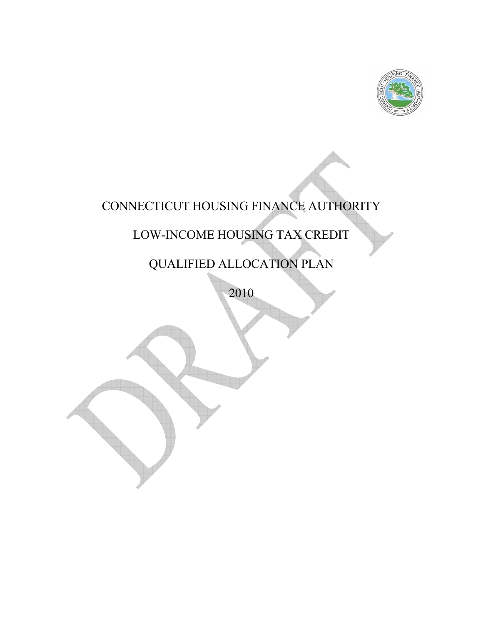

# CONNECTICUT HOUSING FINANCE AUTHORITY

# LOW-INCOME HOUSING TAX CREDIT

# QUALIFIED ALLOCATION PLAN

2010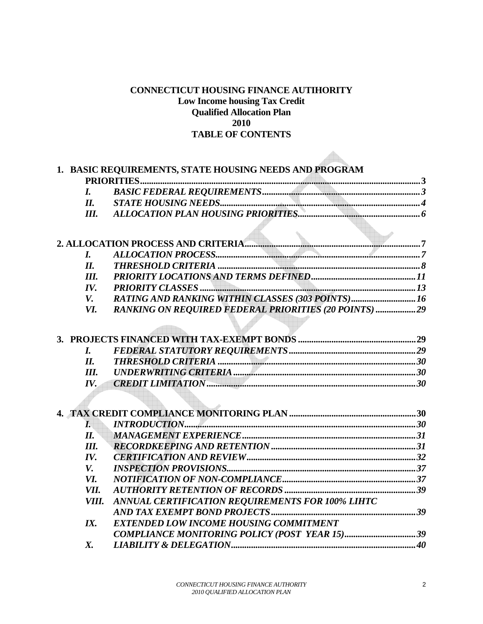# **CONNECTICUT HOUSING FINANCE AUTIHORITY Low Income housing Tax Credit Qualified Allocation Plan 2010 TABLE OF CONTENTS**

 $\blacktriangle$ 

|                    | 1. BASIC REQUIREMENTS, STATE HOUSING NEEDS AND PROGRAM       |  |
|--------------------|--------------------------------------------------------------|--|
|                    |                                                              |  |
| $\boldsymbol{I}$ . |                                                              |  |
| II.                |                                                              |  |
| III.               |                                                              |  |
|                    |                                                              |  |
|                    |                                                              |  |
| L                  |                                                              |  |
| II.                |                                                              |  |
| III.               |                                                              |  |
| IV.                |                                                              |  |
| V.                 | RATING AND RANKING WITHIN CLASSES (303 POINTS)16             |  |
| <i>VI.</i>         | <b>RANKING ON REQUIRED FEDERAL PRIORITIES (20 POINTS) 29</b> |  |
|                    |                                                              |  |
|                    |                                                              |  |
|                    |                                                              |  |
| $\bm{I}$ .         |                                                              |  |
| II.                |                                                              |  |
| Ш.                 |                                                              |  |
| IV.                |                                                              |  |
|                    |                                                              |  |
|                    |                                                              |  |
|                    |                                                              |  |
| $\boldsymbol{I}$ . |                                                              |  |
| $I\!I.$            |                                                              |  |
| Ш.                 |                                                              |  |
| IV.                |                                                              |  |
| V.                 |                                                              |  |
| VI.                |                                                              |  |
| VII.               |                                                              |  |
| VIII.              | ANNUAL CERTIFICATION REQUIREMENTS FOR 100% LIHTC             |  |
|                    |                                                              |  |
| IX.                | EXTENDED LOW INCOME HOUSING COMMITMENT                       |  |
|                    | COMPLIANCE MONITORING POLICY (POST YEAR 15)39                |  |
| X.                 |                                                              |  |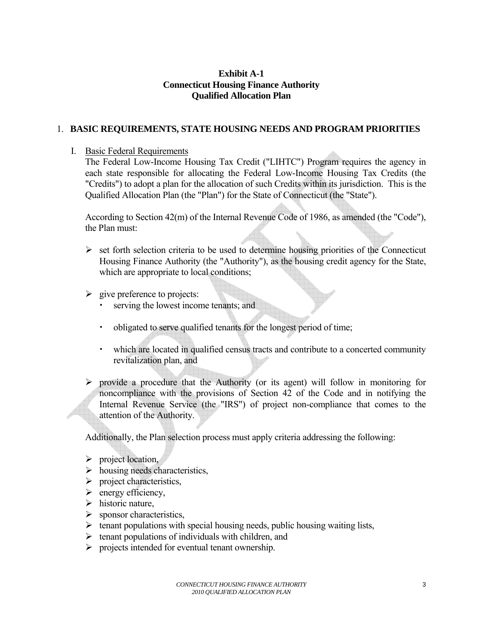## **Exhibit A-1 Connecticut Housing Finance Authority Qualified Allocation Plan**

### <span id="page-2-0"></span>1. **BASIC REQUIREMENTS, STATE HOUSING NEEDS AND PROGRAM PRIORITIES**

#### I. Basic Federal Requirements

The Federal Low-Income Housing Tax Credit ("LIHTC") Program requires the agency in each state responsible for allocating the Federal Low-Income Housing Tax Credits (the "Credits") to adopt a plan for the allocation of such Credits within its jurisdiction. This is the Qualified Allocation Plan (the "Plan") for the State of Connecticut (the "State").

According to Section 42(m) of the Internal Revenue Code of 1986, as amended (the "Code"), the Plan must:

- $\triangleright$  set forth selection criteria to be used to determine housing priorities of the Connecticut Housing Finance Authority (the "Authority"), as the housing credit agency for the State, which are appropriate to local conditions;
- $\triangleright$  give preference to projects:
	- serving the lowest income tenants; and
	- $\cdot$  obligated to serve qualified tenants for the longest period of time;
	- $\cdot$  which are located in qualified census tracts and contribute to a concerted community revitalization plan, and
- $\triangleright$  provide a procedure that the Authority (or its agent) will follow in monitoring for noncompliance with the provisions of Section 42 of the Code and in notifying the Internal Revenue Service (the "IRS") of project non-compliance that comes to the attention of the Authority.

Additionally, the Plan selection process must apply criteria addressing the following:

- $\triangleright$  project location,
- $\triangleright$  housing needs characteristics,
- $\triangleright$  project characteristics,
- $\triangleright$  energy efficiency,
- $\triangleright$  historic nature,
- $\triangleright$  sponsor characteristics,
- $\triangleright$  tenant populations with special housing needs, public housing waiting lists,
- $\triangleright$  tenant populations of individuals with children, and
- $\triangleright$  projects intended for eventual tenant ownership.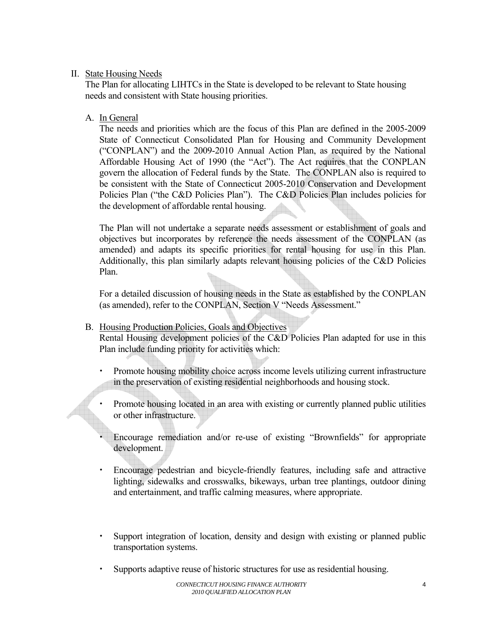# <span id="page-3-0"></span>II. State Housing Needs

The Plan for allocating LIHTCs in the State is developed to be relevant to State housing needs and consistent with State housing priorities.

# A. In General

The needs and priorities which are the focus of this Plan are defined in the 2005-2009 State of Connecticut Consolidated Plan for Housing and Community Development ("CONPLAN") and the 2009-2010 Annual Action Plan, as required by the National Affordable Housing Act of 1990 (the "Act"). The Act requires that the CONPLAN govern the allocation of Federal funds by the State. The CONPLAN also is required to be consistent with the State of Connecticut 2005-2010 Conservation and Development Policies Plan ("the C&D Policies Plan"). The C&D Policies Plan includes policies for the development of affordable rental housing.

The Plan will not undertake a separate needs assessment or establishment of goals and objectives but incorporates by reference the needs assessment of the CONPLAN (as amended) and adapts its specific priorities for rental housing for use in this Plan. Additionally, this plan similarly adapts relevant housing policies of the C&D Policies Plan.

For a detailed discussion of housing needs in the State as established by the CONPLAN (as amended), refer to the CONPLAN, Section V "Needs Assessment."

B. Housing Production Policies, Goals and Objectives

Rental Housing development policies of the C&D Policies Plan adapted for use in this Plan include funding priority for activities which:

- **Example 1** Promote housing mobility choice across income levels utilizing current infrastructure in the preservation of existing residential neighborhoods and housing stock.
- Promote housing located in an area with existing or currently planned public utilities or other infrastructure.

Encourage remediation and/or re-use of existing "Brownfields" for appropriate development.

- x Encourage pedestrian and bicycle-friendly features, including safe and attractive lighting, sidewalks and crosswalks, bikeways, urban tree plantings, outdoor dining and entertainment, and traffic calming measures, where appropriate.
- ightharport integration of location, density and design with existing or planned public transportation systems.
- x Supports adaptive reuse of historic structures for use as residential housing.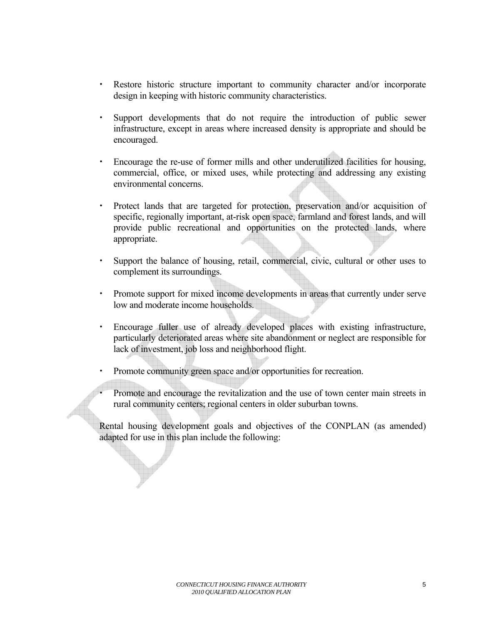- x Restore historic structure important to community character and/or incorporate design in keeping with historic community characteristics.
- x Support developments that do not require the introduction of public sewer infrastructure, except in areas where increased density is appropriate and should be encouraged.
- x Encourage the re-use of former mills and other underutilized facilities for housing, commercial, office, or mixed uses, while protecting and addressing any existing environmental concerns.
- x Protect lands that are targeted for protection, preservation and/or acquisition of specific, regionally important, at-risk open space, farmland and forest lands, and will provide public recreational and opportunities on the protected lands, where appropriate.
- Support the balance of housing, retail, commercial, civic, cultural or other uses to complement its surroundings.
- Promote support for mixed income developments in areas that currently under serve low and moderate income households.
- x Encourage fuller use of already developed places with existing infrastructure, particularly deteriorated areas where site abandonment or neglect are responsible for lack of investment, job loss and neighborhood flight.
- Promote community green space and/or opportunities for recreation.
- Promote and encourage the revitalization and the use of town center main streets in rural community centers; regional centers in older suburban towns.

Rental housing development goals and objectives of the CONPLAN (as amended) adapted for use in this plan include the following: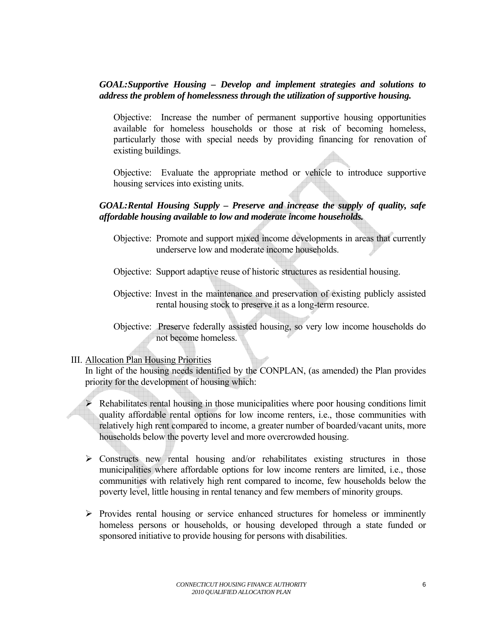## <span id="page-5-0"></span>*GOAL: Supportive Housing – Develop and implement strategies and solutions to address the problem of homelessness through the utilization of supportive housing.*

Objective: Increase the number of permanent supportive housing opportunities available for homeless households or those at risk of becoming homeless, particularly those with special needs by providing financing for renovation of existing buildings.

Objective: Evaluate the appropriate method or vehicle to introduce supportive housing services into existing units.

#### *GOAL: Rental Housing Supply – Preserve and increase the supply of quality, safe affordable housing available to low and moderate income households.*

- Objective: Promote and support mixed income developments in areas that currently underserve low and moderate income households.
- Objective: Support adaptive reuse of historic structures as residential housing.
- Objective: Invest in the maintenance and preservation of existing publicly assisted rental housing stock to preserve it as a long-term resource.
- Objective: Preserve federally assisted housing, so very low income households do not become homeless.

#### III. Allocation Plan Housing Priorities

In light of the housing needs identified by the CONPLAN, (as amended) the Plan provides priority for the development of housing which:

 $\triangleright$  Rehabilitates rental housing in those municipalities where poor housing conditions limit quality affordable rental options for low income renters, i.e., those communities with relatively high rent compared to income, a greater number of boarded/vacant units, more households below the poverty level and more overcrowded housing.

- $\triangleright$  Constructs new rental housing and/or rehabilitates existing structures in those municipalities where affordable options for low income renters are limited, i.e., those communities with relatively high rent compared to income, few households below the poverty level, little housing in rental tenancy and few members of minority groups.
- $\triangleright$  Provides rental housing or service enhanced structures for homeless or imminently homeless persons or households, or housing developed through a state funded or sponsored initiative to provide housing for persons with disabilities.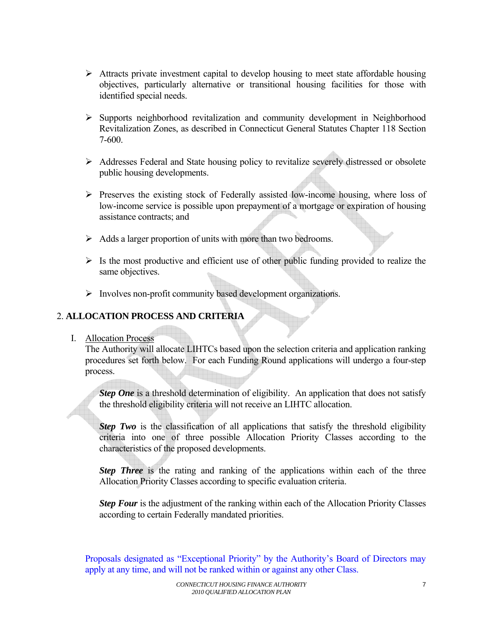- <span id="page-6-0"></span> $\triangleright$  Attracts private investment capital to develop housing to meet state affordable housing objectives, particularly alternative or transitional housing facilities for those with identified special needs.
- ¾ Supports neighborhood revitalization and community development in Neighborhood Revitalization Zones, as described in Connecticut General Statutes Chapter 118 Section 7-600.
- ¾ Addresses Federal and State housing policy to revitalize severely distressed or obsolete public housing developments.
- $\triangleright$  Preserves the existing stock of Federally assisted low-income housing, where loss of low-income service is possible upon prepayment of a mortgage or expiration of housing assistance contracts; and
- $\triangleright$  Adds a larger proportion of units with more than two bedrooms.
- $\triangleright$  Is the most productive and efficient use of other public funding provided to realize the same objectives.
- ¾ Involves non-profit community based development organizations.

# 2. **ALLOCATION PROCESS AND CRITERIA**

#### I. Allocation Process

The Authority will allocate LIHTCs based upon the selection criteria and application ranking procedures set forth below. For each Funding Round applications will undergo a four-step process.

*Step One* is a threshold determination of eligibility. An application that does not satisfy the threshold eligibility criteria will not receive an LIHTC allocation.

*Step Two* is the classification of all applications that satisfy the threshold eligibility criteria into one of three possible Allocation Priority Classes according to the characteristics of the proposed developments.

*Step Three* is the rating and ranking of the applications within each of the three Allocation Priority Classes according to specific evaluation criteria.

*Step Four* is the adjustment of the ranking within each of the Allocation Priority Classes according to certain Federally mandated priorities.

Proposals designated as "Exceptional Priority" by the Authority's Board of Directors may apply at any time, and will not be ranked within or against any other Class.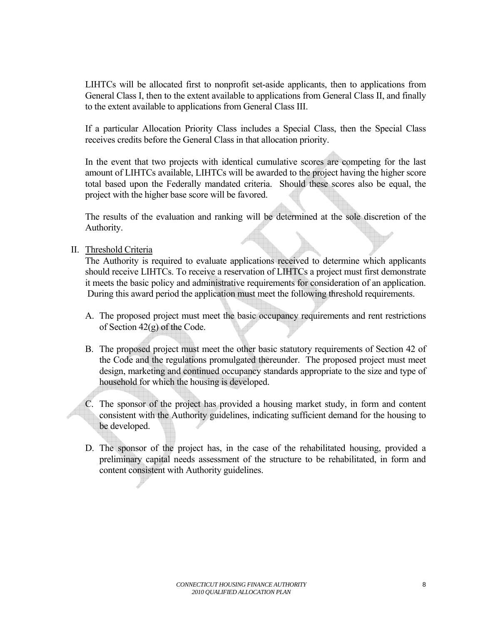<span id="page-7-0"></span>LIHTCs will be allocated first to nonprofit set-aside applicants, then to applications from General Class I, then to the extent available to applications from General Class II, and finally to the extent available to applications from General Class III.

If a particular Allocation Priority Class includes a Special Class, then the Special Class receives credits before the General Class in that allocation priority.

In the event that two projects with identical cumulative scores are competing for the last amount of LIHTCs available, LIHTCs will be awarded to the project having the higher score total based upon the Federally mandated criteria. Should these scores also be equal, the project with the higher base score will be favored.

The results of the evaluation and ranking will be determined at the sole discretion of the Authority.

II. Threshold Criteria

The Authority is required to evaluate applications received to determine which applicants should receive LIHTCs. To receive a reservation of LIHTCs a project must first demonstrate it meets the basic policy and administrative requirements for consideration of an application. During this award period the application must meet the following threshold requirements.

- A. The proposed project must meet the basic occupancy requirements and rent restrictions of Section 42(g) of the Code.
- B. The proposed project must meet the other basic statutory requirements of Section 42 of the Code and the regulations promulgated thereunder. The proposed project must meet design, marketing and continued occupancy standards appropriate to the size and type of household for which the housing is developed.
- C. The sponsor of the project has provided a housing market study, in form and content consistent with the Authority guidelines, indicating sufficient demand for the housing to be developed.
- D. The sponsor of the project has, in the case of the rehabilitated housing, provided a preliminary capital needs assessment of the structure to be rehabilitated, in form and content consistent with Authority guidelines.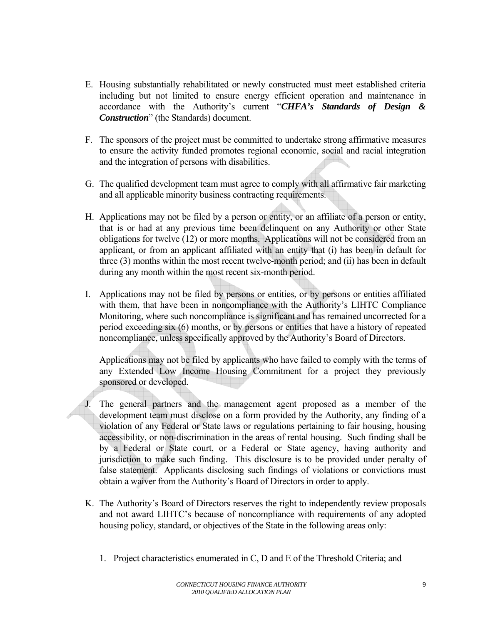- E. Housing substantially rehabilitated or newly constructed must meet established criteria including but not limited to ensure energy efficient operation and maintenance in accordance with the Authority's current "*CHFA's Standards of Design & Construction*" (the Standards) document.
- F. The sponsors of the project must be committed to undertake strong affirmative measures to ensure the activity funded promotes regional economic, social and racial integration and the integration of persons with disabilities.
- G. The qualified development team must agree to comply with all affirmative fair marketing and all applicable minority business contracting requirements.
- H. Applications may not be filed by a person or entity, or an affiliate of a person or entity, that is or had at any previous time been delinquent on any Authority or other State obligations for twelve (12) or more months. Applications will not be considered from an applicant, or from an applicant affiliated with an entity that (i) has been in default for three (3) months within the most recent twelve-month period; and (ii) has been in default during any month within the most recent six-month period.
- I. Applications may not be filed by persons or entities, or by persons or entities affiliated with them, that have been in noncompliance with the Authority's LIHTC Compliance Monitoring, where such noncompliance is significant and has remained uncorrected for a period exceeding six (6) months, or by persons or entities that have a history of repeated noncompliance, unless specifically approved by the Authority's Board of Directors.

Applications may not be filed by applicants who have failed to comply with the terms of any Extended Low Income Housing Commitment for a project they previously sponsored or developed.

- J. The general partners and the management agent proposed as a member of the development team must disclose on a form provided by the Authority, any finding of a violation of any Federal or State laws or regulations pertaining to fair housing, housing accessibility, or non-discrimination in the areas of rental housing. Such finding shall be by a Federal or State court, or a Federal or State agency, having authority and jurisdiction to make such finding. This disclosure is to be provided under penalty of false statement. Applicants disclosing such findings of violations or convictions must obtain a waiver from the Authority's Board of Directors in order to apply.
- K. The Authority's Board of Directors reserves the right to independently review proposals and not award LIHTC's because of noncompliance with requirements of any adopted housing policy, standard, or objectives of the State in the following areas only:
	- 1. Project characteristics enumerated in C, D and E of the Threshold Criteria; and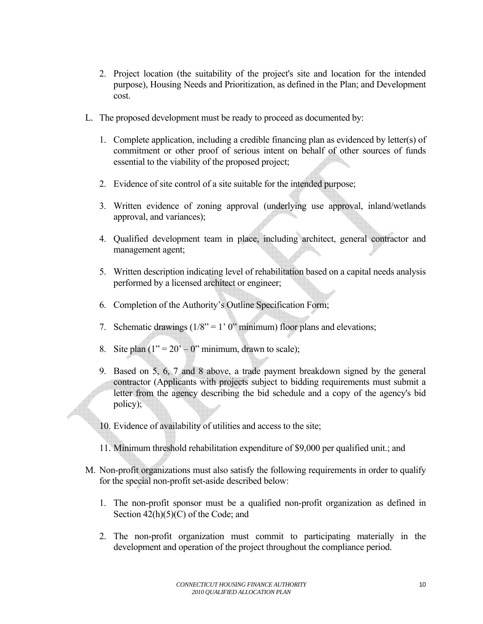- 2. Project location (the suitability of the project's site and location for the intended purpose), Housing Needs and Prioritization, as defined in the Plan; and Development cost.
- L. The proposed development must be ready to proceed as documented by:
	- 1. Complete application, including a credible financing plan as evidenced by letter(s) of commitment or other proof of serious intent on behalf of other sources of funds essential to the viability of the proposed project;
	- 2. Evidence of site control of a site suitable for the intended purpose;
	- 3. Written evidence of zoning approval (underlying use approval, inland/wetlands approval, and variances);
	- 4. Qualified development team in place, including architect, general contractor and management agent;
	- 5. Written description indicating level of rehabilitation based on a capital needs analysis performed by a licensed architect or engineer;
	- 6. Completion of the Authority's Outline Specification Form;
	- 7. Schematic drawings  $(1/8)^{n} = 1'$  0" minimum) floor plans and elevations;
	- 8. Site plan  $(1" = 20" 0"$  minimum, drawn to scale);
	- 9. Based on 5, 6, 7 and 8 above, a trade payment breakdown signed by the general contractor (Applicants with projects subject to bidding requirements must submit a letter from the agency describing the bid schedule and a copy of the agency's bid policy);
	- 10. Evidence of availability of utilities and access to the site;
	- 11. Minimum threshold rehabilitation expenditure of \$9,000 per qualified unit.; and
- M. Non-profit organizations must also satisfy the following requirements in order to qualify for the special non-profit set-aside described below:
	- 1. The non-profit sponsor must be a qualified non-profit organization as defined in Section  $42(h)(5)(C)$  of the Code; and
	- 2. The non-profit organization must commit to participating materially in the development and operation of the project throughout the compliance period.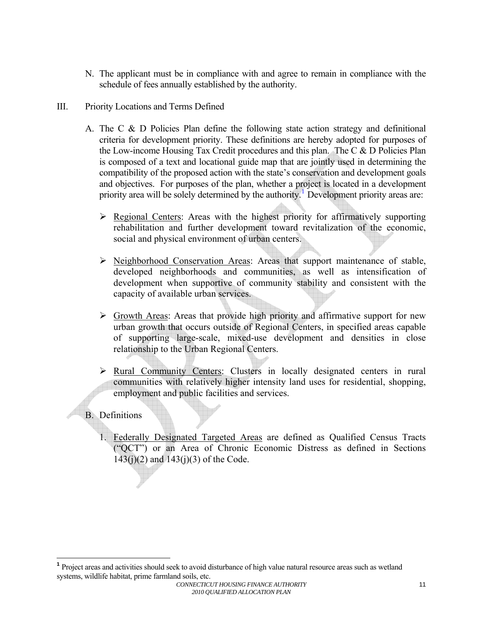- <span id="page-10-0"></span>N. The applicant must be in compliance with and agree to remain in compliance with the schedule of fees annually established by the authority.
- III. Priority Locations and Terms Defined
	- A. The C & D Policies Plan define the following state action strategy and definitional criteria for development priority. These definitions are hereby adopted for purposes of the Low-income Housing Tax Credit procedures and this plan. The C & D Policies Plan is composed of a text and locational guide map that are jointly used in determining the compatibility of the proposed action with the state's conservation and development goals and objectives. For purposes of the plan, whether a project is located in a development priority area will be solely determined by the authority.<sup>[1](#page-10-1)</sup> Development priority areas are:
		- $\triangleright$  Regional Centers: Areas with the highest priority for affirmatively supporting rehabilitation and further development toward revitalization of the economic, social and physical environment of urban centers.
		- ¾ Neighborhood Conservation Areas: Areas that support maintenance of stable, developed neighborhoods and communities, as well as intensification of development when supportive of community stability and consistent with the capacity of available urban services.
		- $\triangleright$  Growth Areas: Areas that provide high priority and affirmative support for new urban growth that occurs outside of Regional Centers, in specified areas capable of supporting large-scale, mixed-use development and densities in close relationship to the Urban Regional Centers.
		- ¾ Rural Community Centers: Clusters in locally designated centers in rural communities with relatively higher intensity land uses for residential, shopping, employment and public facilities and services.

# B. Definitions

1. Federally Designated Targeted Areas are defined as Qualified Census Tracts ("QCT") or an Area of Chronic Economic Distress as defined in Sections  $143(j)(2)$  and  $143(j)(3)$  of the Code.

<span id="page-10-1"></span>**<sup>1</sup>** Project areas and activities should seek to avoid disturbance of high value natural resource areas such as wetland systems, wildlife habitat, prime farmland soils, etc.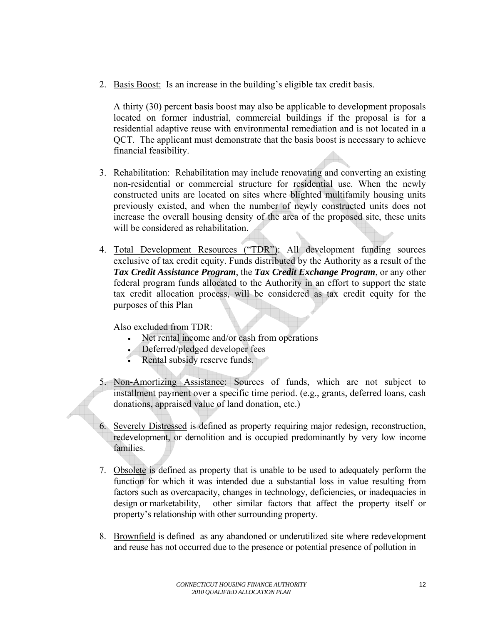2. Basis Boost: Is an increase in the building's eligible tax credit basis.

A thirty (30) percent basis boost may also be applicable to development proposals located on former industrial, commercial buildings if the proposal is for a residential adaptive reuse with environmental remediation and is not located in a QCT. The applicant must demonstrate that the basis boost is necessary to achieve financial feasibility.

- 3. Rehabilitation: Rehabilitation may include renovating and converting an existing non-residential or commercial structure for residential use. When the newly constructed units are located on sites where blighted multifamily housing units previously existed, and when the number of newly constructed units does not increase the overall housing density of the area of the proposed site, these units will be considered as rehabilitation.
- 4. Total Development Resources ("TDR"): All development funding sources exclusive of tax credit equity. Funds distributed by the Authority as a result of the *Tax Credit Assistance Program*, the *Tax Credit Exchange Program*, or any other federal program funds allocated to the Authority in an effort to support the state tax credit allocation process, will be considered as tax credit equity for the purposes of this Plan

Also excluded from TDR:

- Net rental income and/or cash from operations
- Deferred/pledged developer fees
- Rental subsidy reserve funds.
- 5. Non-Amortizing Assistance: Sources of funds, which are not subject to installment payment over a specific time period. (e.g., grants, deferred loans, cash donations, appraised value of land donation, etc.)
- 6. Severely Distressed is defined as property requiring major redesign, reconstruction, redevelopment, or demolition and is occupied predominantly by very low income families.
- 7. Obsolete is defined as property that is unable to be used to adequately perform the function for which it was intended due a substantial loss in value resulting from factors such as overcapacity, changes in technology, deficiencies, or inadequacies in design or marketability, other similar factors that affect the property itself or property's relationship with other surrounding property.
- 8. Brownfield is defined as any abandoned or underutilized site where redevelopment and reuse has not occurred due to the presence or potential presence of pollution in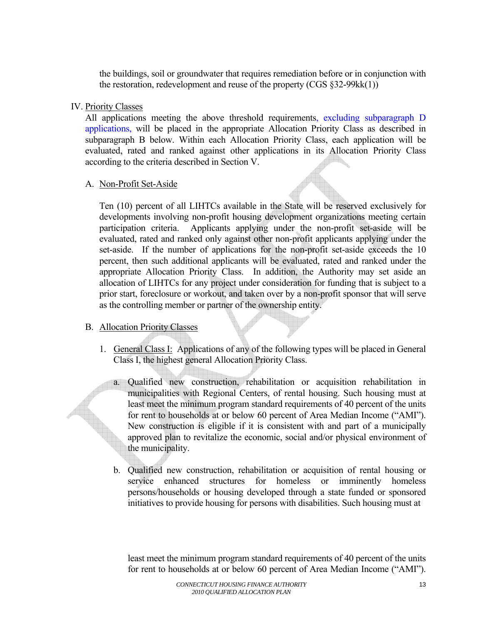<span id="page-12-0"></span>the buildings, soil or groundwater that requires remediation before or in conjunction with the restoration, redevelopment and reuse of the property (CGS §32-99kk(1))

## IV. Priority Classes

All applications meeting the above threshold requirements, excluding subparagraph D applications, will be placed in the appropriate Allocation Priority Class as described in subparagraph B below. Within each Allocation Priority Class, each application will be evaluated, rated and ranked against other applications in its Allocation Priority Class according to the criteria described in Section V.

### A. Non-Profit Set-Aside

Ten (10) percent of all LIHTCs available in the State will be reserved exclusively for developments involving non-profit housing development organizations meeting certain participation criteria. Applicants applying under the non-profit set-aside will be evaluated, rated and ranked only against other non-profit applicants applying under the set-aside. If the number of applications for the non-profit set-aside exceeds the 10 percent, then such additional applicants will be evaluated, rated and ranked under the appropriate Allocation Priority Class. In addition, the Authority may set aside an allocation of LIHTCs for any project under consideration for funding that is subject to a prior start, foreclosure or workout, and taken over by a non-profit sponsor that will serve as the controlling member or partner of the ownership entity.

# B. Allocation Priority Classes

- 1. General Class I: Applications of any of the following types will be placed in General Class I, the highest general Allocation Priority Class.
	- a. Qualified new construction, rehabilitation or acquisition rehabilitation in municipalities with Regional Centers, of rental housing. Such housing must at least meet the minimum program standard requirements of 40 percent of the units for rent to households at or below 60 percent of Area Median Income ("AMI"). New construction is eligible if it is consistent with and part of a municipally approved plan to revitalize the economic, social and/or physical environment of the municipality.
	- b. Qualified new construction, rehabilitation or acquisition of rental housing or service enhanced structures for homeless or imminently homeless persons/households or housing developed through a state funded or sponsored initiatives to provide housing for persons with disabilities. Such housing must at

 least meet the minimum program standard requirements of 40 percent of the units for rent to households at or below 60 percent of Area Median Income ("AMI").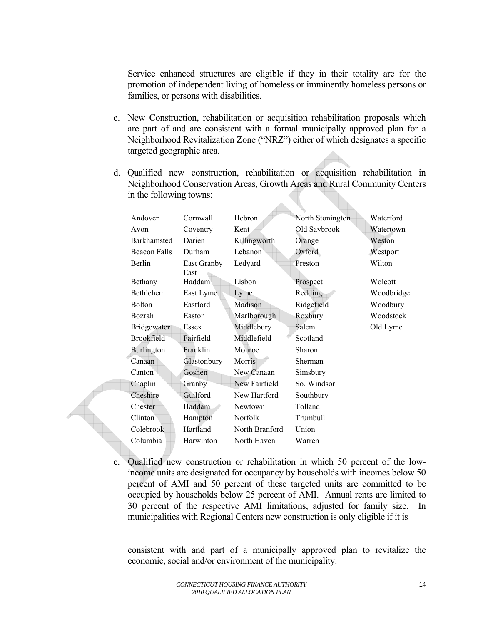Service enhanced structures are eligible if they in their totality are for the promotion of independent living of homeless or imminently homeless persons or families, or persons with disabilities.

- c. New Construction, rehabilitation or acquisition rehabilitation proposals which are part of and are consistent with a formal municipally approved plan for a Neighborhood Revitalization Zone ("NRZ") either of which designates a specific targeted geographic area.
- d. Qualified new construction, rehabilitation or acquisition rehabilitation in Neighborhood Conservation Areas, Growth Areas and Rural Community Centers in the following towns:

 $\blacktriangle$ 

| Andover            | Cornwall            | Hebron         | North Stonington | Waterford  |
|--------------------|---------------------|----------------|------------------|------------|
| Avon               | Coventry            | Kent           | Old Saybrook     | Watertown  |
| <b>Barkhamsted</b> | Darien              | Killingworth   | Orange           | Weston     |
| Beacon Falls       | Durham              | Lebanon        | Oxford           | Westport   |
| <b>Berlin</b>      | East Granby<br>East | Ledyard        | Preston          | Wilton     |
| Bethany            | Haddam              | Lisbon         | Prospect         | Wolcott    |
| Bethlehem          | East Lyme           | Lyme           | Redding          | Woodbridge |
| <b>Bolton</b>      | Eastford            | Madison        | Ridgefield       | Woodbury   |
| Bozrah             | Easton              | Marlborough    | Roxbury          | Woodstock  |
| Bridgewater        | Essex               | Middlebury     | Salem            | Old Lyme   |
| <b>Brookfield</b>  | Fairfield           | Middlefield    | Scotland         |            |
| <b>Burlington</b>  | Franklin            | Monroe         | Sharon           |            |
| Canaan             | Glastonbury         | Morris         | Sherman          |            |
| Canton             | Goshen              | New Canaan     | Simsbury         |            |
| Chaplin            | Granby              | New Fairfield  | So. Windsor      |            |
| Cheshire           | Guilford            | New Hartford   | Southbury        |            |
| Chester            | Haddam              | <b>Newtown</b> | Tolland          |            |
| Clinton            | Hampton             | Norfolk        | Trumbull         |            |
| Colebrook          | Hartland            | North Branford | Union            |            |
| Columbia           | Harwinton           | North Haven    | Warren           |            |
|                    |                     |                |                  |            |

e. Qualified new construction or rehabilitation in which 50 percent of the lowincome units are designated for occupancy by households with incomes below 50 percent of AMI and 50 percent of these targeted units are committed to be occupied by households below 25 percent of AMI. Annual rents are limited to 30 percent of the respective AMI limitations, adjusted for family size. In municipalities with Regional Centers new construction is only eligible if it is

 consistent with and part of a municipally approved plan to revitalize the economic, social and/or environment of the municipality.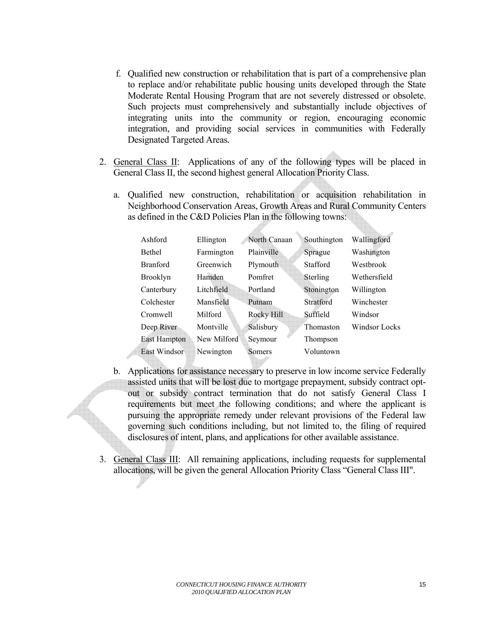- f. Qualified new construction or rehabilitation that is part of a comprehensive plan to replace and/or rehabilitate public housing units developed through the State Moderate Rental Housing Program that are not severely distressed or obsolete. Such projects must comprehensively and substantially include objectives of integrating units into the community or region, encouraging economic integration, and providing social services in communities with Federally Designated Targeted Areas*.*
- 2. General Class II: Applications of any of the following types will be placed in General Class II, the second highest general Allocation Priority Class.
	- a. Qualified new construction, rehabilitation or acquisition rehabilitation in Neighborhood Conservation Areas, Growth Areas and Rural Community Centers as defined in the C&D Policies Plan in the following towns:

| Ashford         | Ellington   | North Canaan | Southington     | Wallingford   |
|-----------------|-------------|--------------|-----------------|---------------|
| Bethel          | Farmington  | Plainville   | Sprague         | Washington    |
| <b>Branford</b> | Greenwich   | Plymouth     | <b>Stafford</b> | Westbrook     |
| <b>Brooklyn</b> | Hamden      | Pomfret      | Sterling        | Wethersfield  |
| Canterbury      | Litchfield  | Portland     | Stonington      | Willington    |
| Colchester      | Mansfield   | Putnam       | Stratford       | Winchester    |
| Cromwell        | Milford     | Rocky Hill   | Suffield        | Windsor       |
| Deep River      | Montville   | Salisbury    | Thomaston       | Windsor Locks |
| East Hampton    | New Milford | Seymour      | Thompson        |               |
| East Windsor    | Newington   | Somers       | Voluntown       |               |
|                 |             |              |                 |               |

- b. Applications for assistance necessary to preserve in low income service Federally assisted units that will be lost due to mortgage prepayment, subsidy contract optout or subsidy contract termination that do not satisfy General Class I requirements but meet the following conditions; and where the applicant is pursuing the appropriate remedy under relevant provisions of the Federal law governing such conditions including, but not limited to, the filing of required disclosures of intent, plans, and applications for other available assistance.
- 3. General Class III: All remaining applications, including requests for supplemental allocations, will be given the general Allocation Priority Class "General Class III".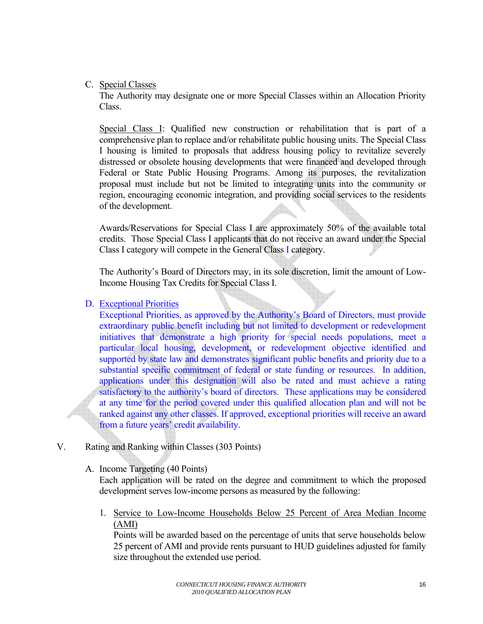## <span id="page-15-0"></span>C. Special Classes

 The Authority may designate one or more Special Classes within an Allocation Priority Class.

Special Class I: Qualified new construction or rehabilitation that is part of a comprehensive plan to replace and/or rehabilitate public housing units. The Special Class I housing is limited to proposals that address housing policy to revitalize severely distressed or obsolete housing developments that were financed and developed through Federal or State Public Housing Programs. Among its purposes, the revitalization proposal must include but not be limited to integrating units into the community or region, encouraging economic integration, and providing social services to the residents of the development.

Awards/Reservations for Special Class I are approximately 50% of the available total credits. Those Special Class I applicants that do not receive an award under the Special Class I category will compete in the General Class I category.

The Authority's Board of Directors may, in its sole discretion, limit the amount of Low-Income Housing Tax Credits for Special Class I.

### D. Exceptional Priorities

Exceptional Priorities, as approved by the Authority's Board of Directors, must provide extraordinary public benefit including but not limited to development or redevelopment initiatives that demonstrate a high priority for special needs populations, meet a particular local housing, development, or redevelopment objective identified and supported by state law and demonstrates significant public benefits and priority due to a substantial specific commitment of federal or state funding or resources. In addition, applications under this designation will also be rated and must achieve a rating satisfactory to the authority's board of directors. These applications may be considered at any time for the period covered under this qualified allocation plan and will not be ranked against any other classes. If approved, exceptional priorities will receive an award from a future years' credit availability.

# V. Rating and Ranking within Classes (303 Points)

A. Income Targeting (40 Points)

Each application will be rated on the degree and commitment to which the proposed development serves low-income persons as measured by the following:

1. Service to Low-Income Households Below 25 Percent of Area Median Income (AMI)

Points will be awarded based on the percentage of units that serve households below 25 percent of AMI and provide rents pursuant to HUD guidelines adjusted for family size throughout the extended use period.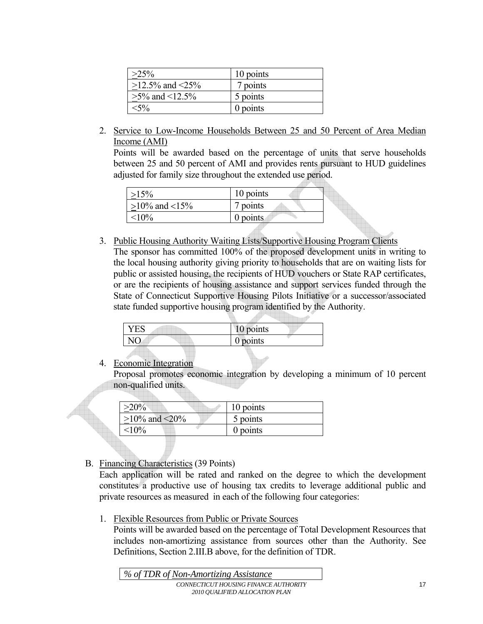| $>25\%$               | 10 points |
|-----------------------|-----------|
| $>12.5\%$ and $<25\%$ | 7 points  |
| $>5\%$ and $<12.5\%$  | 5 points  |
|                       | 0 points  |

2. Service to Low-Income Households Between 25 and 50 Percent of Area Median Income (AMI)

Points will be awarded based on the percentage of units that serve households between 25 and 50 percent of AMI and provides rents pursuant to HUD guidelines adjusted for family size throughout the extended use period.

| $\geq 15\%$         | 10 points  |
|---------------------|------------|
| $>10\%$ and $<15\%$ | 7 points   |
| $< 10\%$            | $0$ points |

3. Public Housing Authority Waiting Lists/Supportive Housing Program Clients

The sponsor has committed 100% of the proposed development units in writing to the local housing authority giving priority to households that are on waiting lists for public or assisted housing, the recipients of HUD vouchers or State RAP certificates, or are the recipients of housing assistance and support services funded through the State of Connecticut Supportive Housing Pilots Initiative or a successor/associated state funded supportive housing program identified by the Authority.

| ' ES | 10 points  |
|------|------------|
|      | $0$ points |
|      |            |

# 4. Economic Integration

Proposal promotes economic integration by developing a minimum of 10 percent non-qualified units.

| $>20\%$             | 10 points |
|---------------------|-----------|
| $\geq$ 10% and <20% | 5 points  |
| ${<}10\%$           | 0 points  |

# B. Financing Characteristics (39 Points)

Each application will be rated and ranked on the degree to which the development constitutes a productive use of housing tax credits to leverage additional public and private resources as measured in each of the following four categories:

1. Flexible Resources from Public or Private Sources

Points will be awarded based on the percentage of Total Development Resources that includes non-amortizing assistance from sources other than the Authority. See Definitions, Section 2.III.B above, for the definition of TDR.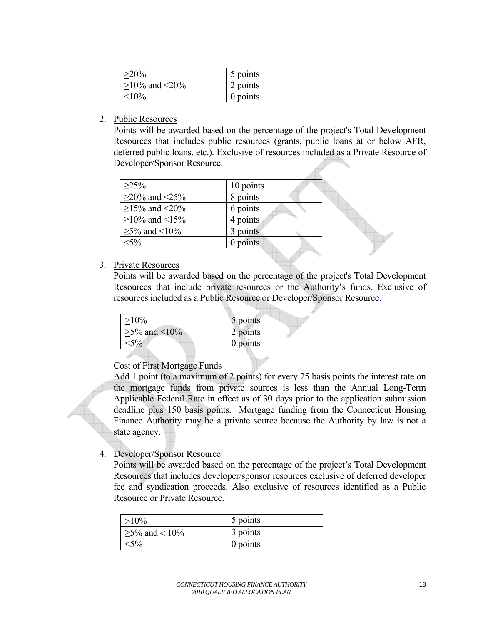| $>20\%$             | 5 points   |
|---------------------|------------|
| $>10\%$ and $<20\%$ | 2 points   |
| $10\%$              | $0$ points |

2. Public Resources

Points will be awarded based on the percentage of the project's Total Development Resources that includes public resources (grants, public loans at or below AFR, deferred public loans, etc.). Exclusive of resources included as a Private Resource of Developer/Sponsor Resource.

| $>25\%$             | 10 points |
|---------------------|-----------|
| $\geq$ 20% and <25% | 8 points  |
| $\geq$ 15% and <20% | 6 points  |
| $\geq$ 10% and <15% | 4 points  |
| $\geq$ 5% and <10%  | 3 points  |
| $<$ 5%              | points    |

#### 3. Private Resources

Points will be awarded based on the percentage of the project's Total Development Resources that include private resources or the Authority's funds. Exclusive of resources included as a Public Resource or Developer/Sponsor Resource.

 $\overline{\phantom{a}}$ 

| $\geq 10\%$         | 5 points |
|---------------------|----------|
| $\geq 5\%$ and <10% | 2 points |
| $5\%$               | 0 points |

### Cost of First Mortgage Funds

Add 1 point (to a maximum of 2 points) for every 25 basis points the interest rate on the mortgage funds from private sources is less than the Annual Long-Term Applicable Federal Rate in effect as of 30 days prior to the application submission deadline plus 150 basis points. Mortgage funding from the Connecticut Housing Finance Authority may be a private source because the Authority by law is not a state agency.

4. Developer/Sponsor Resource

Points will be awarded based on the percentage of the project's Total Development Resources that includes developer/sponsor resources exclusive of deferred developer fee and syndication proceeds. Also exclusive of resources identified as a Public Resource or Private Resource.

| $>10\%$             | 5 points |
|---------------------|----------|
| $\geq$ 5% and < 10% | 3 points |
| $< 5\%$             | 0 points |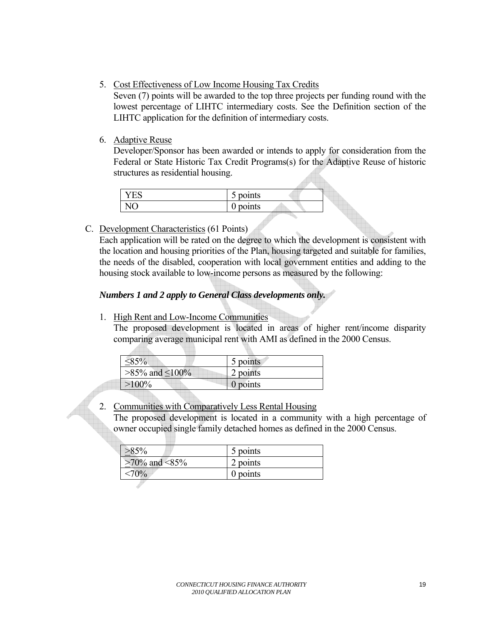5. Cost Effectiveness of Low Income Housing Tax Credits

Seven (7) points will be awarded to the top three projects per funding round with the lowest percentage of LIHTC intermediary costs. See the Definition section of the LIHTC application for the definition of intermediary costs.

### 6. Adaptive Reuse

Developer/Sponsor has been awarded or intends to apply for consideration from the Federal or State Historic Tax Credit Programs(s) for the Adaptive Reuse of historic structures as residential housing.

| ь | $\bullet$<br>points<br>ັ |  |
|---|--------------------------|--|
|   | points<br>ັ              |  |

C. Development Characteristics (61 Points)

Each application will be rated on the degree to which the development is consistent with the location and housing priorities of the Plan, housing targeted and suitable for families, the needs of the disabled, cooperation with local government entities and adding to the housing stock available to low-income persons as measured by the following:

# *Numbers 1 and 2 apply to General Class developments only.*

1. High Rent and Low-Income Communities

The proposed development is located in areas of higher rent/income disparity comparing average municipal rent with AMI as defined in the 2000 Census.

| $\leq 85\%$             | 5 points         |
|-------------------------|------------------|
| $>85\%$ and $\leq100\%$ | 2 points         |
| $>100\%$                | $\vert$ 0 points |

# 2. Communities with Comparatively Less Rental Housing

The proposed development is located in a community with a high percentage of owner occupied single family detached homes as defined in the 2000 Census.

|                     | 5 points   |  |
|---------------------|------------|--|
| $\geq$ 70% and <85% | 2 points   |  |
|                     | $0$ points |  |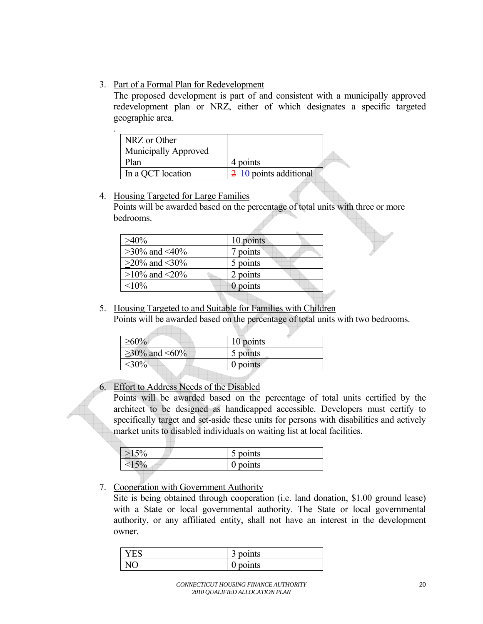# 3. Part of a Formal Plan for Redevelopment

The proposed development is part of and consistent with a municipally approved redevelopment plan or NRZ, either of which designates a specific targeted geographic area.

| ٠ |                      |                        |  |
|---|----------------------|------------------------|--|
|   | NRZ or Other         |                        |  |
|   | Municipally Approved |                        |  |
|   | Plan                 | 4 points               |  |
|   | In a QCT location    | 2 10 points additional |  |

### 4. Housing Targeted for Large Families Points will be awarded based on the percentage of total units with three or more bedrooms.

| 10 points       |
|-----------------|
| 7 points        |
| 5 points        |
| 2 points        |
| $\theta$ points |
|                 |

5. Housing Targeted to and Suitable for Families with Children

Points will be awarded based on the percentage of total units with two bedrooms.

| $\geq$ 60%          | 10 points |
|---------------------|-----------|
| $\geq$ 30% and <60% | 5 points  |
| $<$ 30%             | 0 points  |
|                     |           |

6. Effort to Address Needs of the Disabled

Points will be awarded based on the percentage of total units certified by the architect to be designed as handicapped accessible. Developers must certify to specifically target and set-aside these units for persons with disabilities and actively market units to disabled individuals on waiting list at local facilities.

|   | 5 points    |
|---|-------------|
| υ | points<br>ັ |

7. Cooperation with Government Authority

Site is being obtained through cooperation (i.e. land donation, \$1.00 ground lease) with a State or local governmental authority. The State or local governmental authority, or any affiliated entity, shall not have an interest in the development owner.

|              | ⌒<br>points<br>J |
|--------------|------------------|
| $\mathbf{M}$ | points           |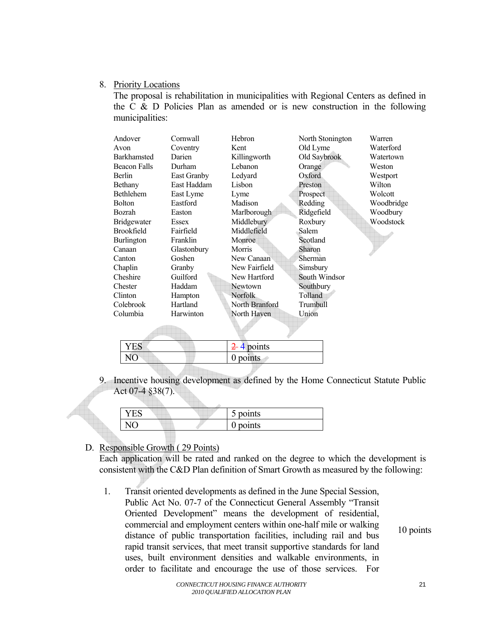#### 8. Priority Locations

The proposal is rehabilitation in municipalities with Regional Centers as defined in the C  $\&$  D Policies Plan as amended or is new construction in the following municipalities:

| Andover             | Cornwall           | Hebron                 | North Stonington | Warren     |
|---------------------|--------------------|------------------------|------------------|------------|
| Avon                | Coventry           | Kent                   | Old Lyme         | Waterford  |
| <b>Barkhamsted</b>  | Darien             | Killingworth           | Old Saybrook     | Watertown  |
| <b>Beacon Falls</b> | Durham             | Lebanon                | Orange           | Weston     |
| Berlin              | <b>East Granby</b> | Ledyard                | Oxford           | Westport   |
| Bethany             | East Haddam        | Lisbon                 | Preston          | Wilton     |
| <b>Bethlehem</b>    | East Lyme          | Lyme                   | Prospect.        | Wolcott    |
| <b>Bolton</b>       | Eastford           | Madison                | Redding          | Woodbridge |
| Bozrah              | Easton             | Marlborough            | Ridgefield       | Woodbury   |
| <b>Bridgewater</b>  | Essex              | Middlebury             | Roxbury          | Woodstock  |
| <b>Brookfield</b>   | Fairfield          | Middlefield            | Salem            |            |
| <b>Burlington</b>   | Franklin           | Monroe                 | Scotland         |            |
| Canaan              | Glastonbury        | Morris                 | Sharon           |            |
| Canton              | Goshen             | New Canaan             | Sherman          |            |
| Chaplin             | Granby             | New Fairfield          | Simsbury         |            |
| Cheshire            | Guilford           | New Hartford           | South Windsor    |            |
| Chester             | Haddam             | Newtown                | Southbury        |            |
| Clinton             | Hampton            | <b>Norfolk</b>         | Tolland          |            |
| Colebrook           | Hartland           | North Branford         | Trumbull         |            |
| Columbia            | Harwinton          | North Haven            | Union            |            |
|                     |                    |                        |                  |            |
| <b>YES</b>          |                    | $\frac{2}{5}$ 4 points |                  |            |
| NO <sub></sub>      |                    | points<br>0            |                  |            |

 9. Incentive housing development as defined by the Home Connecticut Statute Public Act 07-4 §38(7).

|  | 5 points |
|--|----------|
|  | 0 points |

# D. Responsible Growth ( 29 Points)

Each application will be rated and ranked on the degree to which the development is consistent with the C&D Plan definition of Smart Growth as measured by the following:

1. Transit oriented developments as defined in the June Special Session, Public Act No. 07-7 of the Connecticut General Assembly "Transit Oriented Development" means the development of residential, commercial and employment centers within one-half mile or walking distance of public transportation facilities, including rail and bus rapid transit services, that meet transit supportive standards for land uses, built environment densities and walkable environments, in order to facilitate and encourage the use of those services. For

10 points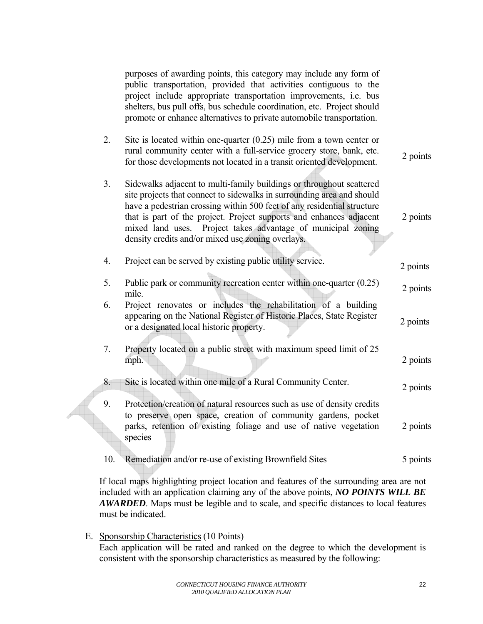|                | purposes of awarding points, this category may include any form of<br>public transportation, provided that activities contiguous to the<br>project include appropriate transportation improvements, i.e. bus<br>shelters, bus pull offs, bus schedule coordination, etc. Project should<br>promote or enhance alternatives to private automobile transportation.                                                         |          |
|----------------|--------------------------------------------------------------------------------------------------------------------------------------------------------------------------------------------------------------------------------------------------------------------------------------------------------------------------------------------------------------------------------------------------------------------------|----------|
| 2.             | Site is located within one-quarter $(0.25)$ mile from a town center or<br>rural community center with a full-service grocery store, bank, etc.<br>for those developments not located in a transit oriented development.                                                                                                                                                                                                  | 2 points |
| 3 <sub>1</sub> | Sidewalks adjacent to multi-family buildings or throughout scattered<br>site projects that connect to sidewalks in surrounding area and should<br>have a pedestrian crossing within 500 feet of any residential structure<br>that is part of the project. Project supports and enhances adjacent<br>Project takes advantage of municipal zoning<br>mixed land uses.<br>density credits and/or mixed use zoning overlays. | 2 points |
| 4.             | Project can be served by existing public utility service.                                                                                                                                                                                                                                                                                                                                                                | 2 points |
| 5.             | Public park or community recreation center within one-quarter $(0.25)$<br>mile.                                                                                                                                                                                                                                                                                                                                          | 2 points |
| 6.             | Project renovates or includes the rehabilitation of a building<br>appearing on the National Register of Historic Places, State Register<br>or a designated local historic property.                                                                                                                                                                                                                                      | 2 points |
| 7.             | Property located on a public street with maximum speed limit of 25<br>mph.                                                                                                                                                                                                                                                                                                                                               | 2 points |
| 8.             | Site is located within one mile of a Rural Community Center.                                                                                                                                                                                                                                                                                                                                                             | 2 points |
| 9.             | Protection/creation of natural resources such as use of density credits<br>to preserve open space, creation of community gardens, pocket<br>parks, retention of existing foliage and use of native vegetation<br>species                                                                                                                                                                                                 | 2 points |
| 10.            | Remediation and/or re-use of existing Brownfield Sites                                                                                                                                                                                                                                                                                                                                                                   | 5 points |

If local maps highlighting project location and features of the surrounding area are not included with an application claiming any of the above points, *NO POINTS WILL BE AWARDED*. Maps must be legible and to scale, and specific distances to local features must be indicated.

E. Sponsorship Characteristics (10 Points)

Each application will be rated and ranked on the degree to which the development is consistent with the sponsorship characteristics as measured by the following: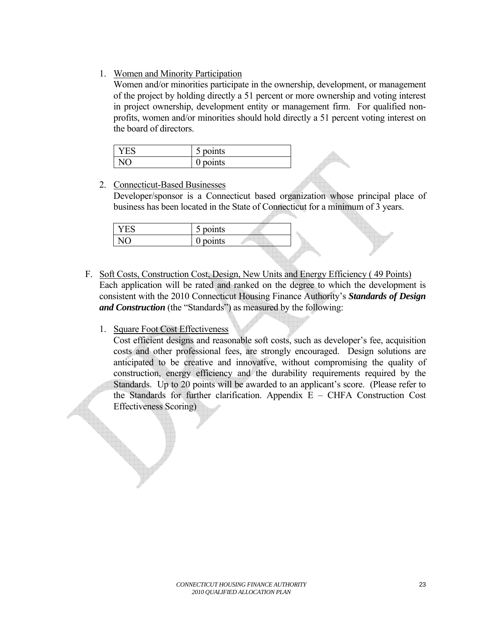# 1. Women and Minority Participation

Women and/or minorities participate in the ownership, development, or management of the project by holding directly a 51 percent or more ownership and voting interest in project ownership, development entity or management firm. For qualified nonprofits, women and/or minorities should hold directly a 51 percent voting interest on the board of directors.

| $\bullet$<br>points<br>ັ |  |
|--------------------------|--|
| ٠<br>$\gamma$ nts<br>ັ   |  |

# 2. Connecticut-Based Businesses

Developer/sponsor is a Connecticut based organization whose principal place of business has been located in the State of Connecticut for a minimum of 3 years.

| $\overline{r}$ $\overline{r}$ $\overline{r}$<br>-<br><b>LAD</b> | $\bullet$<br>points<br>ັ |  |
|-----------------------------------------------------------------|--------------------------|--|
| ∼                                                               | points<br>◡              |  |
|                                                                 |                          |  |

F. Soft Costs, Construction Cost, Design, New Units and Energy Efficiency ( 49 Points) Each application will be rated and ranked on the degree to which the development is consistent with the 2010 Connecticut Housing Finance Authority's *Standards of Design and Construction* (the "Standards") as measured by the following:

# 1. Square Foot Cost Effectiveness

Cost efficient designs and reasonable soft costs, such as developer's fee, acquisition costs and other professional fees, are strongly encouraged. Design solutions are anticipated to be creative and innovative, without compromising the quality of construction, energy efficiency and the durability requirements required by the Standards. Up to 20 points will be awarded to an applicant's score. (Please refer to the Standards for further clarification. Appendix E – CHFA Construction Cost Effectiveness Scoring)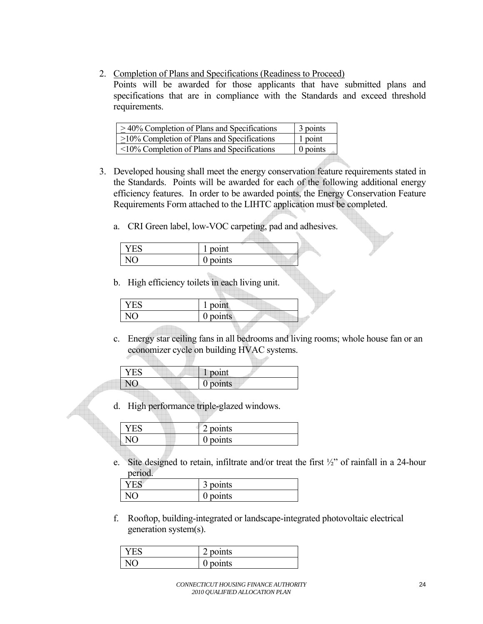2. Completion of Plans and Specifications (Readiness to Proceed)

Points will be awarded for those applicants that have submitted plans and specifications that are in compliance with the Standards and exceed threshold requirements.

| $\geq$ 40% Completion of Plans and Specifications | 3 points |
|---------------------------------------------------|----------|
| $\geq$ 10% Completion of Plans and Specifications | 1 point  |
| $\leq$ 10% Completion of Plans and Specifications | 0 points |

- 3. Developed housing shall meet the energy conservation feature requirements stated in the Standards. Points will be awarded for each of the following additional energy efficiency features. In order to be awarded points, the Energy Conservation Feature Requirements Form attached to the LIHTC application must be completed.
	- a. CRI Green label, low-VOC carpeting, pad and adhesives.

| $\bullet$   |  |
|-------------|--|
| point       |  |
|             |  |
| points<br>v |  |
|             |  |

b. High efficiency toilets in each living unit.

| $\bullet$<br>point |  |
|--------------------|--|
| points<br>U        |  |

c. Energy star ceiling fans in all bedrooms and living rooms; whole house fan or an economizer cycle on building HVAC systems.

| point      |
|------------|
| $0$ points |

d. High performance triple-glazed windows.

|  | points |  |
|--|--------|--|
|  | noints |  |

e. Site designed to retain, infiltrate and/or treat the first ½" of rainfall in a 24-hour period.

| $\bullet$<br>$\sim$<br>points<br>ٮ |
|------------------------------------|
| ٠<br>points<br>ັ                   |

f. Rooftop, building-integrated or landscape-integrated photovoltaic electrical generation system(s).

| ٠<br>◠<br>points |
|------------------|
| ٠<br>points      |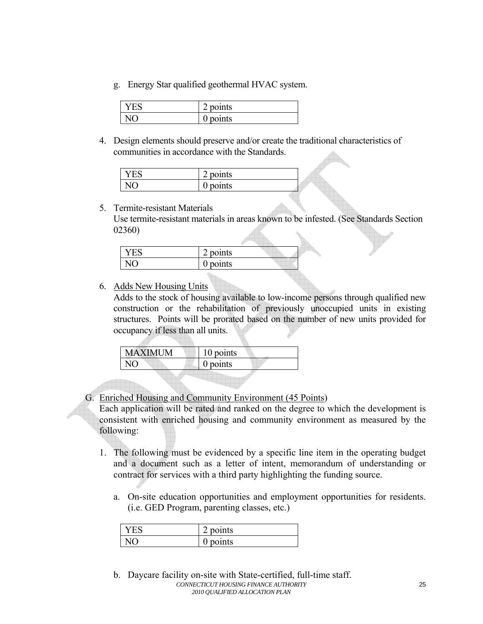g. Energy Star qualified geothermal HVAC system.

| ٠<br>$\rightarrow$<br>points |
|------------------------------|
| ınts<br>ັ                    |

4. Design elements should preserve and/or create the traditional characteristics of communities in accordance with the Standards.

| ۰<br>⌒<br>points |  |
|------------------|--|
| oints<br>ັ       |  |

5. Termite-resistant Materials Use termite-resistant materials in areas known to be infested. (See Standards Section 02360)

| Y ES | points     |  |
|------|------------|--|
|      | $0$ points |  |

6. Adds New Housing Units

Adds to the stock of housing available to low-income persons through qualified new construction or the rehabilitation of previously unoccupied units in existing structures. Points will be prorated based on the number of new units provided for occupancy if less than all units.

| <b>MAXIMUM</b> | 10 points |
|----------------|-----------|
| NO             | 0 points  |
|                |           |

G. Enriched Housing and Community Environment (45 Points)

Each application will be rated and ranked on the degree to which the development is consistent with enriched housing and community environment as measured by the following:

- 1. The following must be evidenced by a specific line item in the operating budget and a document such as a letter of intent, memorandum of understanding or contract for services with a third party highlighting the funding source.
	- a. On-site education opportunities and employment opportunities for residents. (i.e. GED Program, parenting classes, etc.)

| $\bullet$<br>$\sim$<br>points |
|-------------------------------|
| points                        |

*CONNECTICUT HOUSING FINANCE AUTHORITY 2010 QUALIFIED ALLOCATION PLAN*  b. Daycare facility on-site with State-certified, full-time staff.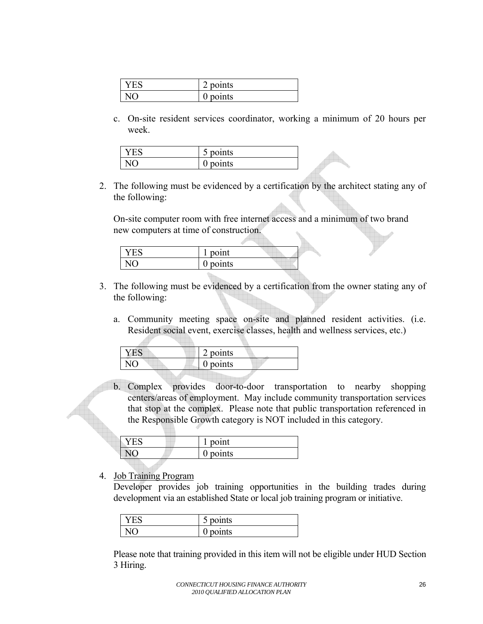| ∕ ⊨ ∿ | points      |
|-------|-------------|
|       | points<br>v |

c. On-site resident services coordinator, working a minimum of 20 hours per week.

| $\bullet$<br>≘∩ınts<br>ັ    |
|-----------------------------|
| ۰<br>nte —<br>ື<br>$\cdots$ |

2. The following must be evidenced by a certification by the architect stating any of the following:

On-site computer room with free internet access and a minimum of two brand new computers at time of construction.

| $\bullet$<br>point  |  |
|---------------------|--|
| $\bullet$<br>points |  |

- 3. The following must be evidenced by a certification from the owner stating any of the following:
	- a. Community meeting space on-site and planned resident activities. (i.e. Resident social event, exercise classes, health and wellness services, etc.)

| points     |
|------------|
| $0$ points |
|            |

b. Complex provides door-to-door transportation to nearby shopping centers/areas of employment. May include community transportation services that stop at the complex. Please note that public transportation referenced in the Responsible Growth category is NOT included in this category.

| point  |
|--------|
| points |

4. Job Training Program

Developer provides job training opportunities in the building trades during development via an established State or local job training program or initiative.

| ٠<br>points<br>ັ |
|------------------|
| oints<br>v       |

Please note that training provided in this item will not be eligible under HUD Section 3 Hiring.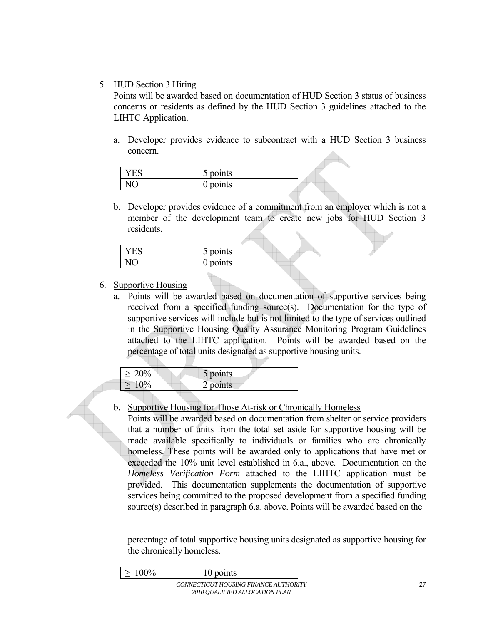## 5. HUD Section 3 Hiring

Points will be awarded based on documentation of HUD Section 3 status of business concerns or residents as defined by the HUD Section 3 guidelines attached to the LIHTC Application.

a. Developer provides evidence to subcontract with a HUD Section 3 business concern.

| $\bullet$<br>points<br>ັ |  |
|--------------------------|--|
| $\nu$ nts<br>ັ<br>.      |  |

b. Developer provides evidence of a commitment from an employer which is not a member of the development team to create new jobs for HUD Section 3 residents.

| 5 points |  |
|----------|--|
| points   |  |

# 6. Supportive Housing

a. Points will be awarded based on documentation of supportive services being received from a specified funding source(s). Documentation for the type of supportive services will include but is not limited to the type of services outlined in the Supportive Housing Quality Assurance Monitoring Program Guidelines attached to the LIHTC application. Points will be awarded based on the percentage of total units designated as supportive housing units.

| $\frac{10}{6}$ | 5 points |
|----------------|----------|
|                | points   |

b. Supportive Housing for Those At-risk or Chronically Homeless

Points will be awarded based on documentation from shelter or service providers that a number of units from the total set aside for supportive housing will be made available specifically to individuals or families who are chronically homeless. These points will be awarded only to applications that have met or exceeded the 10% unit level established in 6.a., above. Documentation on the *Homeless Verification Form* attached to the LIHTC application must be provided. This documentation supplements the documentation of supportive services being committed to the proposed development from a specified funding source(s) described in paragraph 6.a. above. Points will be awarded based on the

percentage of total supportive housing units designated as supportive housing for the chronically homeless.

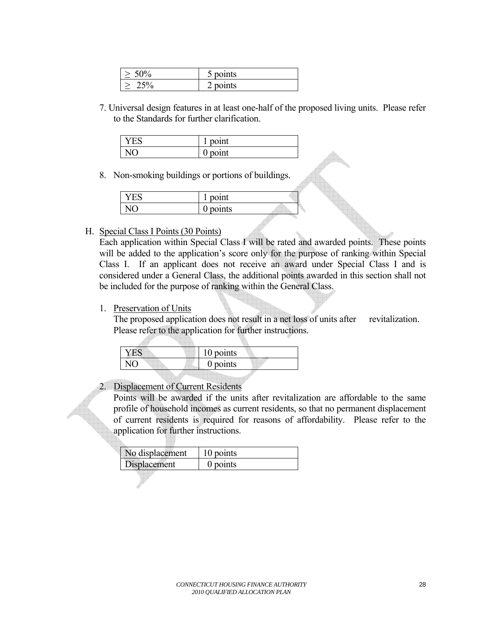| $50^{\circ}$ | $\bullet$<br>points d |
|--------------|-----------------------|
| 'n<br>ں ت    | points                |

7. Universal design features in at least one-half of the proposed living units. Please refer to the Standards for further clarification.

| $\bullet$<br>$-1 - 1 - 1$<br>44<br>- |
|--------------------------------------|
| $\bullet$<br>ັ                       |

8. Non-smoking buildings or portions of buildings.

| $\bullet$<br>point |  |
|--------------------|--|
| points<br>ັ        |  |

#### H. Special Class I Points (30 Points)

Each application within Special Class I will be rated and awarded points. These points will be added to the application's score only for the purpose of ranking within Special Class I. If an applicant does not receive an award under Special Class I and is considered under a General Class, the additional points awarded in this section shall not be included for the purpose of ranking within the General Class.

#### 1. Preservation of Units

The proposed application does not result in a net loss of units after revitalization. Please refer to the application for further instructions.

| 10 points  |
|------------|
| $0$ points |
|            |

#### 2. Displacement of Current Residents

Points will be awarded if the units after revitalization are affordable to the same profile of household incomes as current residents, so that no permanent displacement of current residents is required for reasons of affordability. Please refer to the application for further instructions.

| No displacement | 10 points |
|-----------------|-----------|
| Displacement    | 0 points  |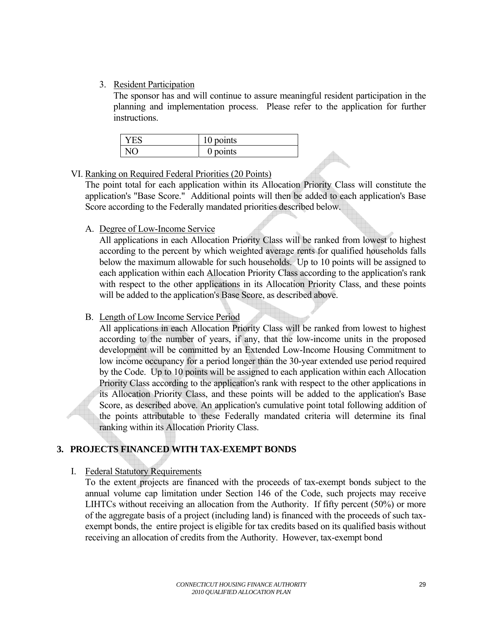# <span id="page-28-0"></span>3. Resident Participation

The sponsor has and will continue to assure meaningful resident participation in the planning and implementation process. Please refer to the application for further instructions.

| '⊢' | points<br>1 V |
|-----|---------------|
|     | points<br>v   |

#### VI. Ranking on Required Federal Priorities (20 Points)

The point total for each application within its Allocation Priority Class will constitute the application's "Base Score." Additional points will then be added to each application's Base Score according to the Federally mandated priorities described below.

### A. Degree of Low-Income Service

All applications in each Allocation Priority Class will be ranked from lowest to highest according to the percent by which weighted average rents for qualified households falls below the maximum allowable for such households. Up to 10 points will be assigned to each application within each Allocation Priority Class according to the application's rank with respect to the other applications in its Allocation Priority Class, and these points will be added to the application's Base Score, as described above.

## B. Length of Low Income Service Period

All applications in each Allocation Priority Class will be ranked from lowest to highest according to the number of years, if any, that the low-income units in the proposed development will be committed by an Extended Low-Income Housing Commitment to low income occupancy for a period longer than the 30-year extended use period required by the Code. Up to 10 points will be assigned to each application within each Allocation Priority Class according to the application's rank with respect to the other applications in its Allocation Priority Class, and these points will be added to the application's Base Score, as described above. An application's cumulative point total following addition of the points attributable to these Federally mandated criteria will determine its final ranking within its Allocation Priority Class.

# **3. PROJECTS FINANCED WITH TAX-EXEMPT BONDS**

# I. Federal Statutory Requirements

To the extent projects are financed with the proceeds of tax-exempt bonds subject to the annual volume cap limitation under Section 146 of the Code, such projects may receive LIHTCs without receiving an allocation from the Authority. If fifty percent (50%) or more of the aggregate basis of a project (including land) is financed with the proceeds of such taxexempt bonds, the entire project is eligible for tax credits based on its qualified basis without receiving an allocation of credits from the Authority. However, tax-exempt bond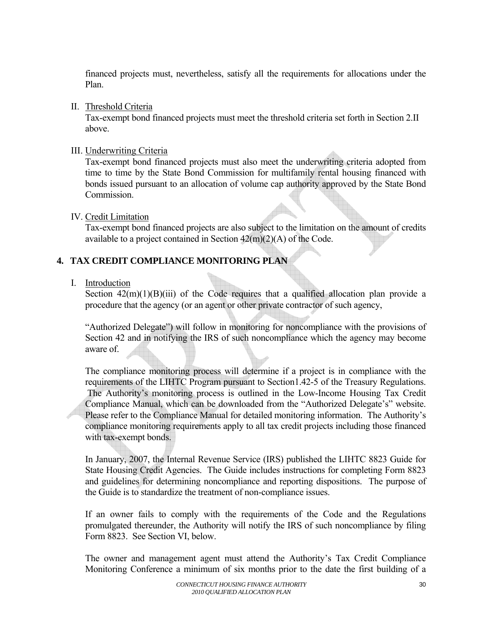<span id="page-29-0"></span>financed projects must, nevertheless, satisfy all the requirements for allocations under the Plan.

#### II. Threshold Criteria

Tax-exempt bond financed projects must meet the threshold criteria set forth in Section 2.II above.

#### III. Underwriting Criteria

Tax-exempt bond financed projects must also meet the underwriting criteria adopted from time to time by the State Bond Commission for multifamily rental housing financed with bonds issued pursuant to an allocation of volume cap authority approved by the State Bond Commission.

### IV. Credit Limitation

Tax-exempt bond financed projects are also subject to the limitation on the amount of credits available to a project contained in Section  $42(m)(2)(A)$  of the Code.

# **4. TAX CREDIT COMPLIANCE MONITORING PLAN**

### I. Introduction

Section  $42(m)(1)(B)(iii)$  of the Code requires that a qualified allocation plan provide a procedure that the agency (or an agent or other private contractor of such agency,

"Authorized Delegate") will follow in monitoring for noncompliance with the provisions of Section 42 and in notifying the IRS of such noncompliance which the agency may become aware of.

The compliance monitoring process will determine if a project is in compliance with the requirements of the LIHTC Program pursuant to Section1.42-5 of the Treasury Regulations. The Authority's monitoring process is outlined in the Low-Income Housing Tax Credit Compliance Manual, which can be downloaded from the "Authorized Delegate's" website. Please refer to the Compliance Manual for detailed monitoring information. The Authority's compliance monitoring requirements apply to all tax credit projects including those financed with tax-exempt bonds.

In January, 2007, the Internal Revenue Service (IRS) published the LIHTC 8823 Guide for State Housing Credit Agencies. The Guide includes instructions for completing Form 8823 and guidelines for determining noncompliance and reporting dispositions. The purpose of the Guide is to standardize the treatment of non-compliance issues.

If an owner fails to comply with the requirements of the Code and the Regulations promulgated thereunder, the Authority will notify the IRS of such noncompliance by filing Form 8823. See Section VI, below.

The owner and management agent must attend the Authority's Tax Credit Compliance Monitoring Conference a minimum of six months prior to the date the first building of a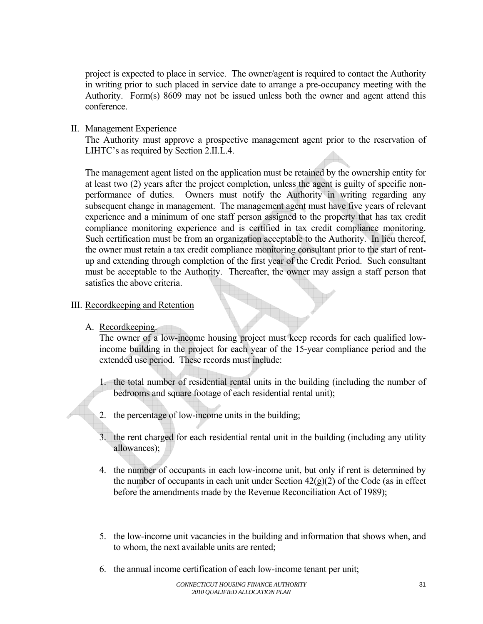<span id="page-30-0"></span>project is expected to place in service. The owner/agent is required to contact the Authority in writing prior to such placed in service date to arrange a pre-occupancy meeting with the Authority. Form(s) 8609 may not be issued unless both the owner and agent attend this conference.

## II. Management Experience

The Authority must approve a prospective management agent prior to the reservation of LIHTC's as required by Section 2.II.L.4.

The management agent listed on the application must be retained by the ownership entity for at least two (2) years after the project completion, unless the agent is guilty of specific nonperformance of duties. Owners must notify the Authority in writing regarding any subsequent change in management. The management agent must have five years of relevant experience and a minimum of one staff person assigned to the property that has tax credit compliance monitoring experience and is certified in tax credit compliance monitoring. Such certification must be from an organization acceptable to the Authority. In lieu thereof, the owner must retain a tax credit compliance monitoring consultant prior to the start of rentup and extending through completion of the first year of the Credit Period. Such consultant must be acceptable to the Authority. Thereafter, the owner may assign a staff person that satisfies the above criteria.

### III. Recordkeeping and Retention

A. Recordkeeping.

The owner of a low-income housing project must keep records for each qualified lowincome building in the project for each year of the 15-year compliance period and the extended use period. These records must include:

- 1. the total number of residential rental units in the building (including the number of bedrooms and square footage of each residential rental unit);
- 2. the percentage of low-income units in the building;
- 3. the rent charged for each residential rental unit in the building (including any utility allowances);
- 4. the number of occupants in each low-income unit, but only if rent is determined by the number of occupants in each unit under Section  $42(g)(2)$  of the Code (as in effect before the amendments made by the Revenue Reconciliation Act of 1989);
- 5. the low-income unit vacancies in the building and information that shows when, and to whom, the next available units are rented;
- 6. the annual income certification of each low-income tenant per unit;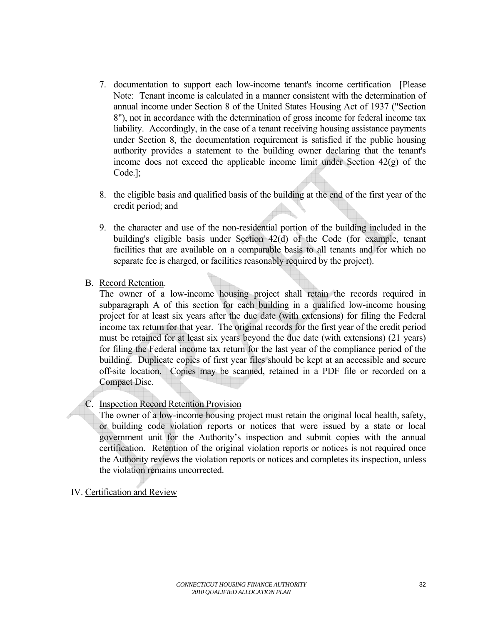- <span id="page-31-0"></span>7. documentation to support each low-income tenant's income certification [Please Note: Tenant income is calculated in a manner consistent with the determination of annual income under Section 8 of the United States Housing Act of 1937 ("Section 8"), not in accordance with the determination of gross income for federal income tax liability. Accordingly, in the case of a tenant receiving housing assistance payments under Section 8, the documentation requirement is satisfied if the public housing authority provides a statement to the building owner declaring that the tenant's income does not exceed the applicable income limit under Section 42(g) of the Code.];
- 8. the eligible basis and qualified basis of the building at the end of the first year of the credit period; and
- 9. the character and use of the non-residential portion of the building included in the building's eligible basis under Section 42(d) of the Code (for example, tenant facilities that are available on a comparable basis to all tenants and for which no separate fee is charged, or facilities reasonably required by the project).
- B. Record Retention.

The owner of a low-income housing project shall retain the records required in subparagraph A of this section for each building in a qualified low-income housing project for at least six years after the due date (with extensions) for filing the Federal income tax return for that year. The original records for the first year of the credit period must be retained for at least six years beyond the due date (with extensions) (21 years) for filing the Federal income tax return for the last year of the compliance period of the building. Duplicate copies of first year files should be kept at an accessible and secure off-site location. Copies may be scanned, retained in a PDF file or recorded on a Compact Disc.

# C. Inspection Record Retention Provision

The owner of a low-income housing project must retain the original local health, safety, or building code violation reports or notices that were issued by a state or local government unit for the Authority's inspection and submit copies with the annual certification. Retention of the original violation reports or notices is not required once the Authority reviews the violation reports or notices and completes its inspection, unless the violation remains uncorrected.

IV. Certification and Review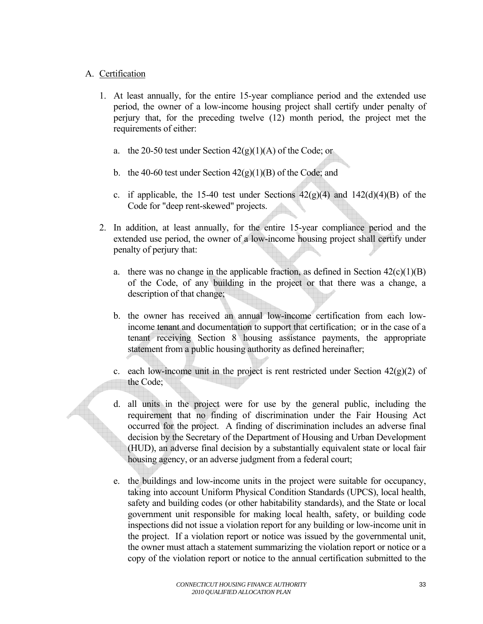## A. Certification

- 1. At least annually, for the entire 15-year compliance period and the extended use period, the owner of a low-income housing project shall certify under penalty of perjury that, for the preceding twelve (12) month period, the project met the requirements of either:
	- a. the 20-50 test under Section  $42(g)(1)(A)$  of the Code; or
	- b. the 40-60 test under Section  $42(g)(1)(B)$  of the Code; and
	- c. if applicable, the 15-40 test under Sections  $42(g)(4)$  and  $142(d)(4)(B)$  of the Code for "deep rent-skewed" projects.
- 2. In addition, at least annually, for the entire 15-year compliance period and the extended use period, the owner of a low-income housing project shall certify under penalty of perjury that:
	- a. there was no change in the applicable fraction, as defined in Section  $42(c)(1)(B)$ of the Code, of any building in the project or that there was a change, a description of that change;
	- b. the owner has received an annual low-income certification from each lowincome tenant and documentation to support that certification; or in the case of a tenant receiving Section 8 housing assistance payments, the appropriate statement from a public housing authority as defined hereinafter;
	- c. each low-income unit in the project is rent restricted under Section  $42(g)(2)$  of the Code;
	- d. all units in the project were for use by the general public, including the requirement that no finding of discrimination under the Fair Housing Act occurred for the project. A finding of discrimination includes an adverse final decision by the Secretary of the Department of Housing and Urban Development (HUD), an adverse final decision by a substantially equivalent state or local fair housing agency, or an adverse judgment from a federal court;
	- e. the buildings and low-income units in the project were suitable for occupancy, taking into account Uniform Physical Condition Standards (UPCS), local health, safety and building codes (or other habitability standards), and the State or local government unit responsible for making local health, safety, or building code inspections did not issue a violation report for any building or low-income unit in the project. If a violation report or notice was issued by the governmental unit, the owner must attach a statement summarizing the violation report or notice or a copy of the violation report or notice to the annual certification submitted to the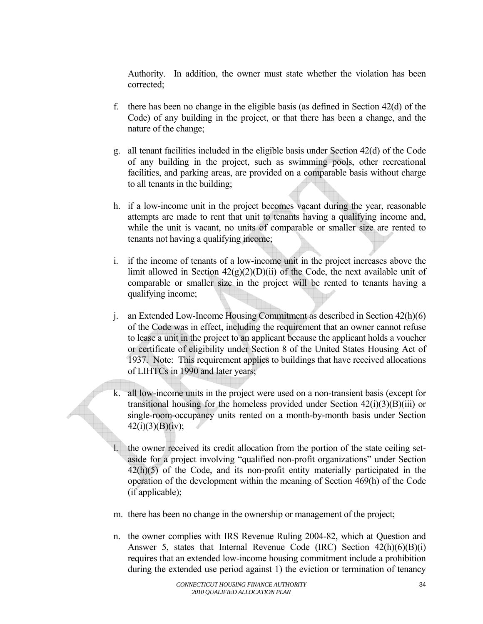Authority. In addition, the owner must state whether the violation has been corrected;

- f. there has been no change in the eligible basis (as defined in Section 42(d) of the Code) of any building in the project, or that there has been a change, and the nature of the change;
- g. all tenant facilities included in the eligible basis under Section 42(d) of the Code of any building in the project, such as swimming pools, other recreational facilities, and parking areas, are provided on a comparable basis without charge to all tenants in the building;
- h. if a low-income unit in the project becomes vacant during the year, reasonable attempts are made to rent that unit to tenants having a qualifying income and, while the unit is vacant, no units of comparable or smaller size are rented to tenants not having a qualifying income;
- i. if the income of tenants of a low-income unit in the project increases above the limit allowed in Section  $42(g)(2)(D)(ii)$  of the Code, the next available unit of comparable or smaller size in the project will be rented to tenants having a qualifying income;
- j. an Extended Low-Income Housing Commitment as described in Section 42(h)(6) of the Code was in effect, including the requirement that an owner cannot refuse to lease a unit in the project to an applicant because the applicant holds a voucher or certificate of eligibility under Section 8 of the United States Housing Act of 1937. Note: This requirement applies to buildings that have received allocations of LIHTCs in 1990 and later years;
- k. all low-income units in the project were used on a non-transient basis (except for transitional housing for the homeless provided under Section  $42(i)(3)(B)(iii)$  or single-room-occupancy units rented on a month-by-month basis under Section  $42(i)(3)(B)(iv);$ 
	- the owner received its credit allocation from the portion of the state ceiling setaside for a project involving "qualified non-profit organizations" under Section 42(h)(5) of the Code, and its non-profit entity materially participated in the operation of the development within the meaning of Section 469(h) of the Code (if applicable);
- m. there has been no change in the ownership or management of the project;
- n. the owner complies with IRS Revenue Ruling 2004-82, which at Question and Answer 5, states that Internal Revenue Code (IRC) Section 42(h)(6)(B)(i) requires that an extended low-income housing commitment include a prohibition during the extended use period against 1) the eviction or termination of tenancy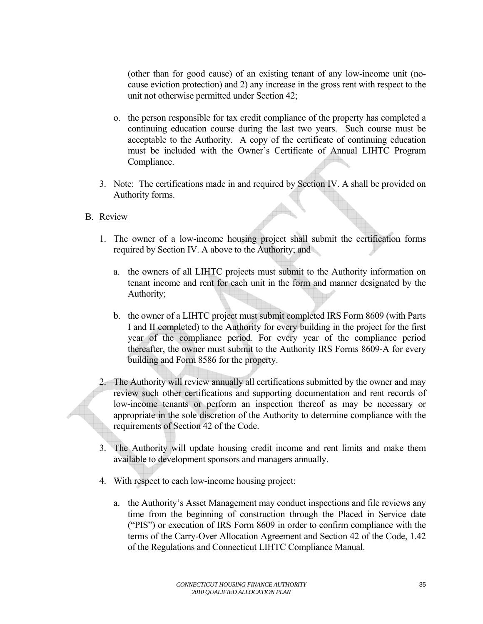(other than for good cause) of an existing tenant of any low-income unit (nocause eviction protection) and 2) any increase in the gross rent with respect to the unit not otherwise permitted under Section 42;

- o. the person responsible for tax credit compliance of the property has completed a continuing education course during the last two years. Such course must be acceptable to the Authority. A copy of the certificate of continuing education must be included with the Owner's Certificate of Annual LIHTC Program Compliance.
- 3. Note: The certifications made in and required by Section IV. A shall be provided on Authority forms.

### B. Review

- 1. The owner of a low-income housing project shall submit the certification forms required by Section IV. A above to the Authority; and
	- a. the owners of all LIHTC projects must submit to the Authority information on tenant income and rent for each unit in the form and manner designated by the Authority;
	- b. the owner of a LIHTC project must submit completed IRS Form 8609 (with Parts I and II completed) to the Authority for every building in the project for the first year of the compliance period. For every year of the compliance period thereafter, the owner must submit to the Authority IRS Forms 8609-A for every building and Form 8586 for the property.
- 2. The Authority will review annually all certifications submitted by the owner and may review such other certifications and supporting documentation and rent records of low-income tenants or perform an inspection thereof as may be necessary or appropriate in the sole discretion of the Authority to determine compliance with the requirements of Section 42 of the Code.
- 3. The Authority will update housing credit income and rent limits and make them available to development sponsors and managers annually.
- 4. With respect to each low-income housing project:
	- a. the Authority's Asset Management may conduct inspections and file reviews any time from the beginning of construction through the Placed in Service date ("PIS") or execution of IRS Form 8609 in order to confirm compliance with the terms of the Carry-Over Allocation Agreement and Section 42 of the Code, 1.42 of the Regulations and Connecticut LIHTC Compliance Manual.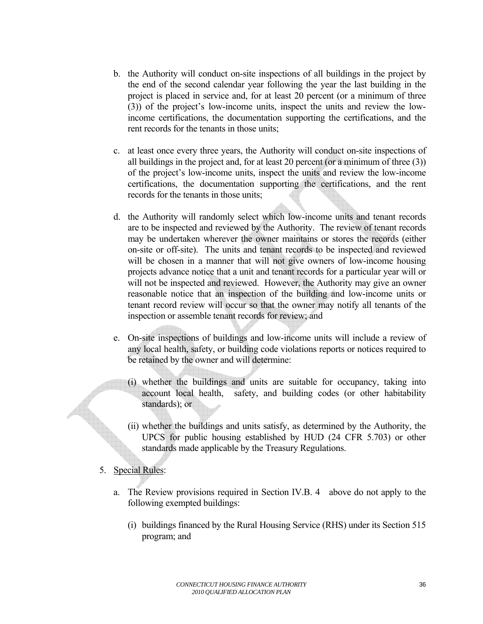- b. the Authority will conduct on-site inspections of all buildings in the project by the end of the second calendar year following the year the last building in the project is placed in service and, for at least 20 percent (or a minimum of three (3)) of the project's low-income units, inspect the units and review the lowincome certifications, the documentation supporting the certifications, and the rent records for the tenants in those units;
- c. at least once every three years, the Authority will conduct on-site inspections of all buildings in the project and, for at least 20 percent (or a minimum of three (3)) of the project's low-income units, inspect the units and review the low-income certifications, the documentation supporting the certifications, and the rent records for the tenants in those units;
- d. the Authority will randomly select which low-income units and tenant records are to be inspected and reviewed by the Authority. The review of tenant records may be undertaken wherever the owner maintains or stores the records (either on-site or off-site). The units and tenant records to be inspected and reviewed will be chosen in a manner that will not give owners of low-income housing projects advance notice that a unit and tenant records for a particular year will or will not be inspected and reviewed. However, the Authority may give an owner reasonable notice that an inspection of the building and low-income units or tenant record review will occur so that the owner may notify all tenants of the inspection or assemble tenant records for review; and
- e. On-site inspections of buildings and low-income units will include a review of any local health, safety, or building code violations reports or notices required to be retained by the owner and will determine:
	- (i) whether the buildings and units are suitable for occupancy, taking into account local health, safety, and building codes (or other habitability standards); or
	- (ii) whether the buildings and units satisfy, as determined by the Authority, the UPCS for public housing established by HUD (24 CFR 5.703) or other standards made applicable by the Treasury Regulations.
- 5. Special Rules:
	- a. The Review provisions required in Section IV.B. 4 above do not apply to the following exempted buildings:
		- (i) buildings financed by the Rural Housing Service (RHS) under its Section 515 program; and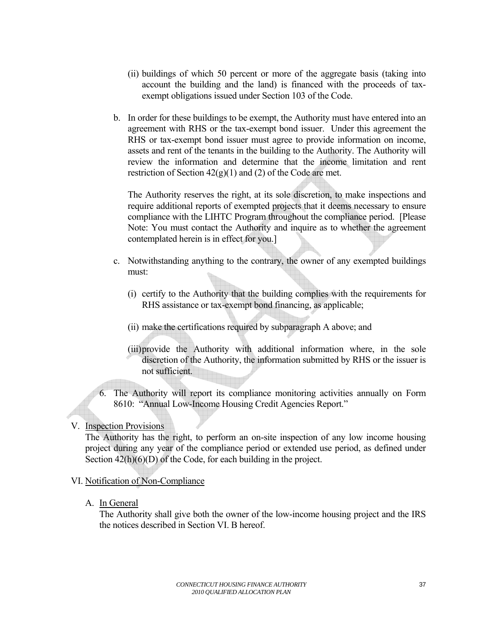- <span id="page-36-0"></span>(ii) buildings of which 50 percent or more of the aggregate basis (taking into account the building and the land) is financed with the proceeds of taxexempt obligations issued under Section 103 of the Code.
- b. In order for these buildings to be exempt, the Authority must have entered into an agreement with RHS or the tax-exempt bond issuer. Under this agreement the RHS or tax-exempt bond issuer must agree to provide information on income, assets and rent of the tenants in the building to the Authority. The Authority will review the information and determine that the income limitation and rent restriction of Section  $42(g)(1)$  and (2) of the Code are met.

 The Authority reserves the right, at its sole discretion, to make inspections and require additional reports of exempted projects that it deems necessary to ensure compliance with the LIHTC Program throughout the compliance period. [Please Note: You must contact the Authority and inquire as to whether the agreement contemplated herein is in effect for you.]

- c. Notwithstanding anything to the contrary, the owner of any exempted buildings must:
	- (i) certify to the Authority that the building complies with the requirements for RHS assistance or tax-exempt bond financing, as applicable;
	- (ii) make the certifications required by subparagraph A above; and
	- (iii) provide the Authority with additional information where, in the sole discretion of the Authority, the information submitted by RHS or the issuer is not sufficient.
- 6. The Authority will report its compliance monitoring activities annually on Form 8610: "Annual Low-Income Housing Credit Agencies Report."

# V. Inspection Provisions

The Authority has the right, to perform an on-site inspection of any low income housing project during any year of the compliance period or extended use period, as defined under Section  $42(h)(6)(D)$  of the Code, for each building in the project.

# VI. Notification of Non-Compliance

A. In General

The Authority shall give both the owner of the low-income housing project and the IRS the notices described in Section VI. B hereof.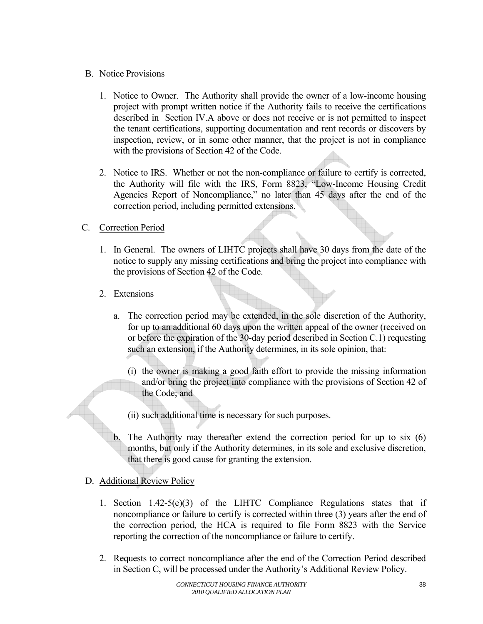# B. Notice Provisions

- 1. Notice to Owner. The Authority shall provide the owner of a low-income housing project with prompt written notice if the Authority fails to receive the certifications described in Section IV.A above or does not receive or is not permitted to inspect the tenant certifications, supporting documentation and rent records or discovers by inspection, review, or in some other manner, that the project is not in compliance with the provisions of Section 42 of the Code.
- 2. Notice to IRS. Whether or not the non-compliance or failure to certify is corrected, the Authority will file with the IRS, Form 8823, "Low-Income Housing Credit Agencies Report of Noncompliance," no later than 45 days after the end of the correction period, including permitted extensions.

# C. Correction Period

- 1. In General. The owners of LIHTC projects shall have 30 days from the date of the notice to supply any missing certifications and bring the project into compliance with the provisions of Section 42 of the Code.
- 2. Extensions
	- a. The correction period may be extended, in the sole discretion of the Authority, for up to an additional 60 days upon the written appeal of the owner (received on or before the expiration of the 30-day period described in Section C.1) requesting such an extension, if the Authority determines, in its sole opinion, that:
		- (i) the owner is making a good faith effort to provide the missing information and/or bring the project into compliance with the provisions of Section 42 of the Code; and
		- (ii) such additional time is necessary for such purposes.
	- b. The Authority may thereafter extend the correction period for up to six (6) months, but only if the Authority determines, in its sole and exclusive discretion, that there is good cause for granting the extension.

# D. Additional Review Policy

- 1. Section 1.42-5(e)(3) of the LIHTC Compliance Regulations states that if noncompliance or failure to certify is corrected within three (3) years after the end of the correction period, the HCA is required to file Form 8823 with the Service reporting the correction of the noncompliance or failure to certify.
- 2. Requests to correct noncompliance after the end of the Correction Period described in Section C, will be processed under the Authority's Additional Review Policy.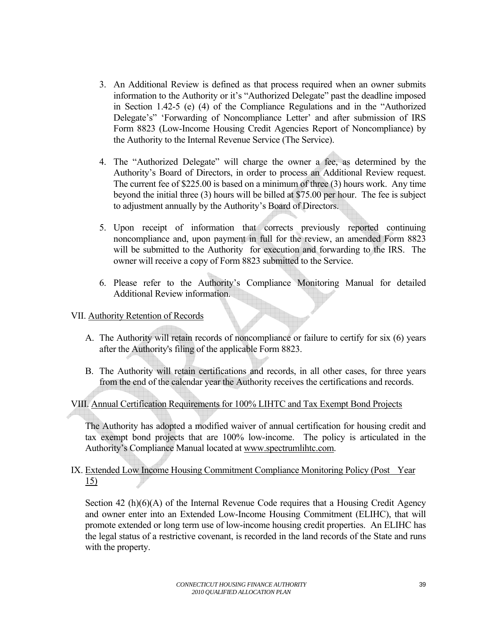- <span id="page-38-0"></span>3. An Additional Review is defined as that process required when an owner submits information to the Authority or it's "Authorized Delegate" past the deadline imposed in Section 1.42-5 (e) (4) of the Compliance Regulations and in the "Authorized Delegate's" 'Forwarding of Noncompliance Letter' and after submission of IRS Form 8823 (Low-Income Housing Credit Agencies Report of Noncompliance) by the Authority to the Internal Revenue Service (The Service).
- 4. The "Authorized Delegate" will charge the owner a fee, as determined by the Authority's Board of Directors, in order to process an Additional Review request. The current fee of \$225.00 is based on a minimum of three (3) hours work. Any time beyond the initial three (3) hours will be billed at \$75.00 per hour. The fee is subject to adjustment annually by the Authority's Board of Directors.
- 5. Upon receipt of information that corrects previously reported continuing noncompliance and, upon payment in full for the review, an amended Form 8823 will be submitted to the Authority for execution and forwarding to the IRS. The owner will receive a copy of Form 8823 submitted to the Service.
- 6. Please refer to the Authority's Compliance Monitoring Manual for detailed Additional Review information.

## VII. Authority Retention of Records

- A. The Authority will retain records of noncompliance or failure to certify for six (6) years after the Authority's filing of the applicable Form 8823.
- B. The Authority will retain certifications and records, in all other cases, for three years from the end of the calendar year the Authority receives the certifications and records.

# VIII. Annual Certification Requirements for 100% LIHTC and Tax Exempt Bond Projects

The Authority has adopted a modified waiver of annual certification for housing credit and tax exempt bond projects that are 100% low-income. The policy is articulated in the Authority's Compliance Manual located at [www.spectrumlihtc.com](http://www.spectrumlihtc.com/).

# IX. Extended Low Income Housing Commitment Compliance Monitoring Policy (Post Year 15)

Section 42 (h)(6)(A) of the Internal Revenue Code requires that a Housing Credit Agency and owner enter into an Extended Low-Income Housing Commitment (ELIHC), that will promote extended or long term use of low-income housing credit properties. An ELIHC has the legal status of a restrictive covenant, is recorded in the land records of the State and runs with the property.